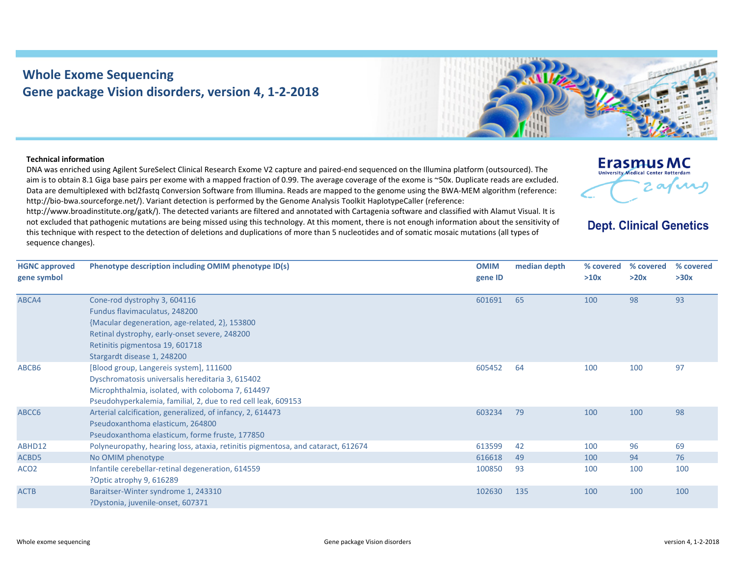## **Whole Exome Sequencing Gene package Vision disorders, version 4, 1‐2‐2018**



## **Technical information**

DNA was enriched using Agilent SureSelect Clinical Research Exome V2 capture and paired‐end sequenced on the Illumina platform (outsourced). The aim is to obtain 8.1 Giga base pairs per exome with <sup>a</sup> mapped fraction of 0.99. The average coverage of the exome is ~50x. Duplicate reads are excluded. Data are demultiplexed with bcl2fastq Conversion Software from Illumina. Reads are mapped to the genome using the BWA‐MEM algorithm (reference: http://bio-bwa.sourceforge.net/). Variant detection is performed by the Genome Analysis Toolkit HaplotypeCaller (reference:

http://www.broadinstitute.org/gatk/). The detected variants are filtered and annotated with Cartagenia software and classified with Alamut Visual. It is not excluded that pathogenic mutations are being missed using this technology. At this moment, there is not enough information about the sensitivity of this technique with respect to the detection of deletions and duplications of more than 5 nucleotides and of somatic mosaic mutations (all types of sequence changes).



**Dept. Clinical Genetics** 

| <b>HGNC approved</b> | Phenotype description including OMIM phenotype ID(s)                             | <b>OMIM</b> | median depth | % covered | % covered | % covered |
|----------------------|----------------------------------------------------------------------------------|-------------|--------------|-----------|-----------|-----------|
| gene symbol          |                                                                                  | gene ID     |              | >10x      | >20x      | >30x      |
|                      |                                                                                  |             |              |           |           |           |
| ABCA4                | Cone-rod dystrophy 3, 604116                                                     | 601691      | 65           | 100       | 98        | 93        |
|                      | Fundus flavimaculatus, 248200                                                    |             |              |           |           |           |
|                      | {Macular degeneration, age-related, 2}, 153800                                   |             |              |           |           |           |
|                      | Retinal dystrophy, early-onset severe, 248200                                    |             |              |           |           |           |
|                      | Retinitis pigmentosa 19, 601718                                                  |             |              |           |           |           |
|                      | Stargardt disease 1, 248200                                                      |             |              |           |           |           |
| ABCB6                | [Blood group, Langereis system], 111600                                          | 605452      | 64           | 100       | 100       | 97        |
|                      | Dyschromatosis universalis hereditaria 3, 615402                                 |             |              |           |           |           |
|                      | Microphthalmia, isolated, with coloboma 7, 614497                                |             |              |           |           |           |
|                      | Pseudohyperkalemia, familial, 2, due to red cell leak, 609153                    |             |              |           |           |           |
| ABCC6                | Arterial calcification, generalized, of infancy, 2, 614473                       | 603234      | 79           | 100       | 100       | 98        |
|                      | Pseudoxanthoma elasticum, 264800                                                 |             |              |           |           |           |
|                      | Pseudoxanthoma elasticum, forme fruste, 177850                                   |             |              |           |           |           |
| ABHD12               | Polyneuropathy, hearing loss, ataxia, retinitis pigmentosa, and cataract, 612674 | 613599      | 42           | 100       | 96        | 69        |
| ACBD5                | No OMIM phenotype                                                                | 616618      | 49           | 100       | 94        | 76        |
| ACO <sub>2</sub>     | Infantile cerebellar-retinal degeneration, 614559                                | 100850      | 93           | 100       | 100       | 100       |
|                      | ?Optic atrophy 9, 616289                                                         |             |              |           |           |           |
| <b>ACTB</b>          | Baraitser-Winter syndrome 1, 243310                                              | 102630      | 135          | 100       | 100       | 100       |
|                      | ?Dystonia, juvenile-onset, 607371                                                |             |              |           |           |           |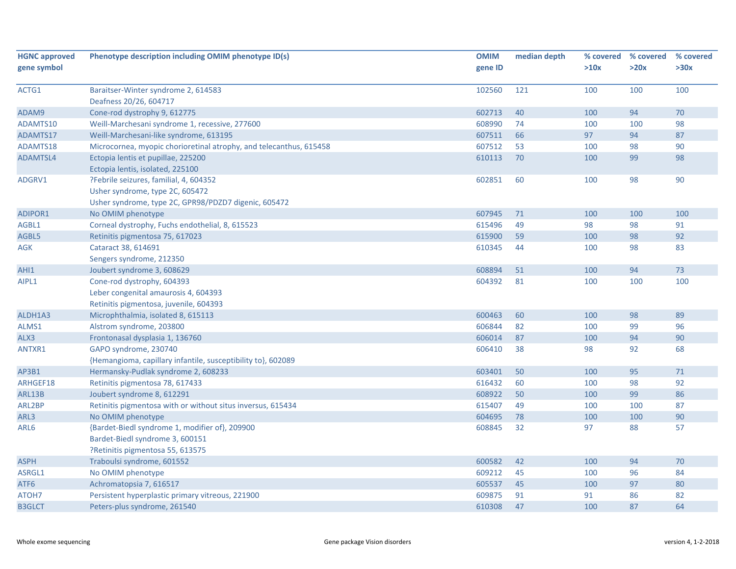| <b>HGNC approved</b> | Phenotype description including OMIM phenotype ID(s)               | <b>OMIM</b> | median depth | % covered | % covered | % covered |
|----------------------|--------------------------------------------------------------------|-------------|--------------|-----------|-----------|-----------|
| gene symbol          |                                                                    | gene ID     |              | >10x      | >20x      | >30x      |
|                      |                                                                    |             |              |           |           |           |
| ACTG1                | Baraitser-Winter syndrome 2, 614583                                | 102560      | 121          | 100       | 100       | 100       |
|                      | Deafness 20/26, 604717                                             |             |              |           |           |           |
| ADAM9                | Cone-rod dystrophy 9, 612775                                       | 602713      | 40           | 100       | 94        | 70        |
| ADAMTS10             | Weill-Marchesani syndrome 1, recessive, 277600                     | 608990      | 74           | 100       | 100       | 98        |
| ADAMTS17             | Weill-Marchesani-like syndrome, 613195                             | 607511      | 66           | 97        | 94        | 87        |
| ADAMTS18             | Microcornea, myopic chorioretinal atrophy, and telecanthus, 615458 | 607512      | 53           | 100       | 98        | 90        |
| ADAMTSL4             | Ectopia lentis et pupillae, 225200                                 | 610113      | 70           | 100       | 99        | 98        |
|                      | Ectopia lentis, isolated, 225100                                   |             |              |           |           |           |
| ADGRV1               | ?Febrile seizures, familial, 4, 604352                             | 602851      | 60           | 100       | 98        | 90        |
|                      | Usher syndrome, type 2C, 605472                                    |             |              |           |           |           |
|                      | Usher syndrome, type 2C, GPR98/PDZD7 digenic, 605472               |             |              |           |           |           |
| ADIPOR1              | No OMIM phenotype                                                  | 607945      | 71           | 100       | 100       | 100       |
| AGBL1                | Corneal dystrophy, Fuchs endothelial, 8, 615523                    | 615496      | 49           | 98        | 98        | 91        |
| AGBL5                | Retinitis pigmentosa 75, 617023                                    | 615900      | 59           | 100       | 98        | 92        |
| AGK                  | Cataract 38, 614691                                                | 610345      | 44           | 100       | 98        | 83        |
|                      | Sengers syndrome, 212350                                           |             |              |           |           |           |
| AHI1                 | Joubert syndrome 3, 608629                                         | 608894      | 51           | 100       | 94        | 73        |
| AIPL1                | Cone-rod dystrophy, 604393                                         | 604392      | 81           | 100       | 100       | 100       |
|                      | Leber congenital amaurosis 4, 604393                               |             |              |           |           |           |
|                      | Retinitis pigmentosa, juvenile, 604393                             |             |              |           |           |           |
| ALDH1A3              | Microphthalmia, isolated 8, 615113                                 | 600463      | 60           | 100       | 98        | 89        |
| ALMS1                | Alstrom syndrome, 203800                                           | 606844      | 82           | 100       | 99        | 96        |
| ALX3                 | Frontonasal dysplasia 1, 136760                                    | 606014      | 87           | 100       | 94        | 90        |
| ANTXR1               | GAPO syndrome, 230740                                              | 606410      | 38           | 98        | 92        | 68        |
|                      | {Hemangioma, capillary infantile, susceptibility to}, 602089       |             |              |           |           |           |
| AP3B1                | Hermansky-Pudlak syndrome 2, 608233                                | 603401      | 50           | 100       | 95        | $71\,$    |
| ARHGEF18             | Retinitis pigmentosa 78, 617433                                    | 616432      | 60           | 100       | 98        | 92        |
| ARL13B               | Joubert syndrome 8, 612291                                         | 608922      | 50           | 100       | 99        | 86        |
| ARL2BP               | Retinitis pigmentosa with or without situs inversus, 615434        | 615407      | 49           | 100       | 100       | 87        |
| ARL3                 | No OMIM phenotype                                                  | 604695      | 78           | 100       | 100       | 90        |
| ARL6                 | {Bardet-Biedl syndrome 1, modifier of}, 209900                     | 608845      | 32           | 97        | 88        | 57        |
|                      | Bardet-Biedl syndrome 3, 600151                                    |             |              |           |           |           |
|                      | PRetinitis pigmentosa 55, 613575                                   |             |              |           |           |           |
| <b>ASPH</b>          | Traboulsi syndrome, 601552                                         | 600582      | 42           | 100       | 94        | 70        |
| ASRGL1               | No OMIM phenotype                                                  | 609212      | 45           | 100       | 96        | 84        |
| ATF6                 | Achromatopsia 7, 616517                                            | 605537      | 45           | 100       | 97        | 80        |
| ATOH7                | Persistent hyperplastic primary vitreous, 221900                   | 609875      | 91           | 91        | 86        | 82        |
| <b>B3GLCT</b>        | Peters-plus syndrome, 261540                                       | 610308      | 47           | 100       | 87        | 64        |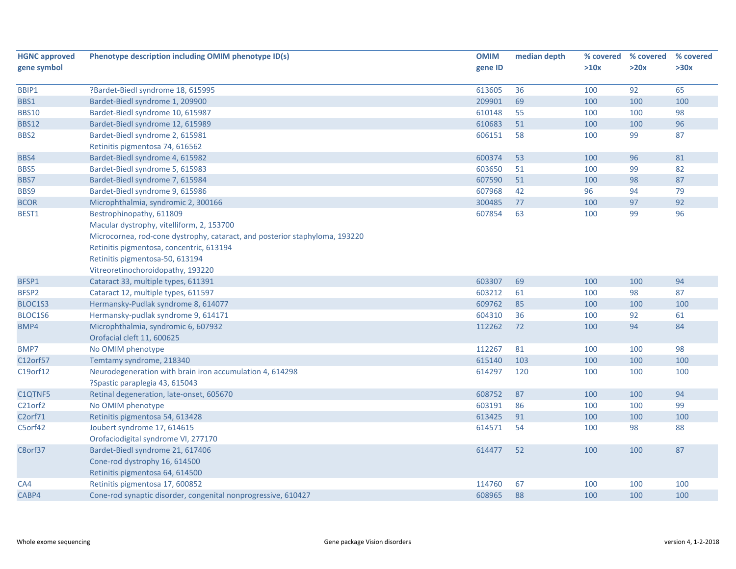| <b>HGNC approved</b> | Phenotype description including OMIM phenotype ID(s)                        | <b>OMIM</b> | median depth | % covered | % covered | % covered |
|----------------------|-----------------------------------------------------------------------------|-------------|--------------|-----------|-----------|-----------|
| gene symbol          |                                                                             | gene ID     |              | >10x      | >20x      | >30x      |
|                      |                                                                             |             |              |           |           |           |
| BBIP1                | ?Bardet-Biedl syndrome 18, 615995                                           | 613605      | 36           | 100       | 92        | 65        |
| BBS1                 | Bardet-Biedl syndrome 1, 209900                                             | 209901      | 69           | 100       | 100       | 100       |
| <b>BBS10</b>         | Bardet-Biedl syndrome 10, 615987                                            | 610148      | 55           | 100       | 100       | 98        |
| <b>BBS12</b>         | Bardet-Biedl syndrome 12, 615989                                            | 610683      | 51           | 100       | 100       | 96        |
| BBS2                 | Bardet-Biedl syndrome 2, 615981                                             | 606151      | 58           | 100       | 99        | 87        |
|                      | Retinitis pigmentosa 74, 616562                                             |             |              |           |           |           |
| BBS4                 | Bardet-Biedl syndrome 4, 615982                                             | 600374      | 53           | 100       | 96        | 81        |
| BBS5                 | Bardet-Biedl syndrome 5, 615983                                             | 603650      | 51           | 100       | 99        | 82        |
| BBS7                 | Bardet-Biedl syndrome 7, 615984                                             | 607590      | 51           | 100       | 98        | 87        |
| BBS9                 | Bardet-Biedl syndrome 9, 615986                                             | 607968      | 42           | 96        | 94        | 79        |
| <b>BCOR</b>          | Microphthalmia, syndromic 2, 300166                                         | 300485      | 77           | 100       | 97        | 92        |
| BEST1                | Bestrophinopathy, 611809                                                    | 607854      | 63           | 100       | 99        | 96        |
|                      | Macular dystrophy, vitelliform, 2, 153700                                   |             |              |           |           |           |
|                      | Microcornea, rod-cone dystrophy, cataract, and posterior staphyloma, 193220 |             |              |           |           |           |
|                      | Retinitis pigmentosa, concentric, 613194                                    |             |              |           |           |           |
|                      | Retinitis pigmentosa-50, 613194                                             |             |              |           |           |           |
|                      | Vitreoretinochoroidopathy, 193220                                           |             |              |           |           |           |
| BFSP1                | Cataract 33, multiple types, 611391                                         | 603307      | 69           | 100       | 100       | 94        |
| BFSP2                | Cataract 12, multiple types, 611597                                         | 603212      | 61           | 100       | 98        | 87        |
| BLOC1S3              | Hermansky-Pudlak syndrome 8, 614077                                         | 609762      | 85           | 100       | 100       | 100       |
| BLOC1S6              | Hermansky-pudlak syndrome 9, 614171                                         | 604310      | 36           | 100       | 92        | 61        |
| BMP4                 | Microphthalmia, syndromic 6, 607932                                         | 112262      | 72           | 100       | 94        | 84        |
|                      | Orofacial cleft 11, 600625                                                  |             |              |           |           |           |
| BMP7                 | No OMIM phenotype                                                           | 112267      | 81           | 100       | 100       | 98        |
| C12orf57             | Temtamy syndrome, 218340                                                    | 615140      | 103          | 100       | 100       | 100       |
| C19orf12             | Neurodegeneration with brain iron accumulation 4, 614298                    | 614297      | 120          | 100       | 100       | 100       |
|                      | ?Spastic paraplegia 43, 615043                                              |             |              |           |           |           |
| C1QTNF5              | Retinal degeneration, late-onset, 605670                                    | 608752      | 87           | 100       | 100       | 94        |
| C21orf2              | No OMIM phenotype                                                           | 603191      | 86           | 100       | 100       | 99        |
| C <sub>2</sub> orf71 | Retinitis pigmentosa 54, 613428                                             | 613425      | 91           | 100       | 100       | 100       |
| C5orf42              | Joubert syndrome 17, 614615                                                 | 614571      | 54           | 100       | 98        | 88        |
|                      | Orofaciodigital syndrome VI, 277170                                         |             |              |           |           |           |
| C8orf37              | Bardet-Biedl syndrome 21, 617406                                            | 614477      | 52           | 100       | 100       | 87        |
|                      | Cone-rod dystrophy 16, 614500                                               |             |              |           |           |           |
|                      | Retinitis pigmentosa 64, 614500                                             |             |              |           |           |           |
| CA4                  | Retinitis pigmentosa 17, 600852                                             | 114760      | 67           | 100       | 100       | 100       |
| CABP4                | Cone-rod synaptic disorder, congenital nonprogressive, 610427               | 608965      | 88           | 100       | 100       | 100       |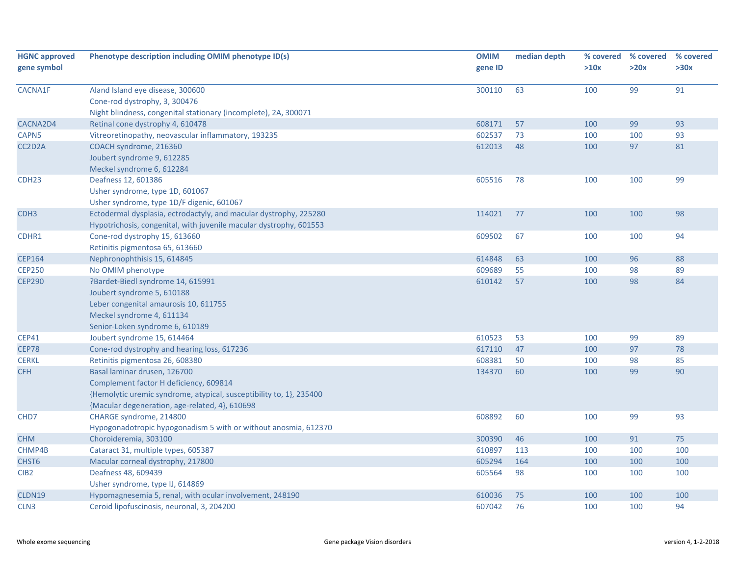| <b>HGNC approved</b> | Phenotype description including OMIM phenotype ID(s)                | <b>OMIM</b> | median depth | % covered | % covered | % covered |
|----------------------|---------------------------------------------------------------------|-------------|--------------|-----------|-----------|-----------|
| gene symbol          |                                                                     | gene ID     |              | >10x      | >20x      | >30x      |
| CACNA1F              | Aland Island eye disease, 300600                                    | 300110      | 63           | 100       | 99        | 91        |
|                      | Cone-rod dystrophy, 3, 300476                                       |             |              |           |           |           |
|                      | Night blindness, congenital stationary (incomplete), 2A, 300071     |             |              |           |           |           |
| CACNA2D4             | Retinal cone dystrophy 4, 610478                                    | 608171      | 57           | 100       | 99        | 93        |
| CAPN5                | Vitreoretinopathy, neovascular inflammatory, 193235                 | 602537      | 73           | 100       | 100       | 93        |
| CC2D2A               | COACH syndrome, 216360                                              | 612013      | 48           | 100       | 97        | 81        |
|                      | Joubert syndrome 9, 612285                                          |             |              |           |           |           |
|                      | Meckel syndrome 6, 612284                                           |             |              |           |           |           |
| CDH <sub>23</sub>    | Deafness 12, 601386                                                 | 605516      | 78           | 100       | 100       | 99        |
|                      | Usher syndrome, type 1D, 601067                                     |             |              |           |           |           |
|                      | Usher syndrome, type 1D/F digenic, 601067                           |             |              |           |           |           |
| CDH <sub>3</sub>     | Ectodermal dysplasia, ectrodactyly, and macular dystrophy, 225280   | 114021      | 77           | 100       | 100       | 98        |
|                      | Hypotrichosis, congenital, with juvenile macular dystrophy, 601553  |             |              |           |           |           |
| CDHR1                | Cone-rod dystrophy 15, 613660                                       | 609502      | 67           | 100       | 100       | 94        |
|                      | Retinitis pigmentosa 65, 613660                                     |             |              |           |           |           |
| <b>CEP164</b>        | Nephronophthisis 15, 614845                                         | 614848      | 63           | 100       | 96        | 88        |
| <b>CEP250</b>        | No OMIM phenotype                                                   | 609689      | 55           | 100       | 98        | 89        |
| <b>CEP290</b>        | ?Bardet-Biedl syndrome 14, 615991                                   | 610142      | 57           | 100       | 98        | 84        |
|                      | Joubert syndrome 5, 610188                                          |             |              |           |           |           |
|                      | Leber congenital amaurosis 10, 611755                               |             |              |           |           |           |
|                      | Meckel syndrome 4, 611134                                           |             |              |           |           |           |
|                      | Senior-Loken syndrome 6, 610189                                     |             |              |           |           |           |
| <b>CEP41</b>         | Joubert syndrome 15, 614464                                         | 610523      | 53           | 100       | 99        | 89        |
| <b>CEP78</b>         | Cone-rod dystrophy and hearing loss, 617236                         | 617110      | 47           | 100       | 97        | 78        |
| <b>CERKL</b>         | Retinitis pigmentosa 26, 608380                                     | 608381      | 50           | 100       | 98        | 85        |
| <b>CFH</b>           | Basal laminar drusen, 126700                                        | 134370      | 60           | 100       | 99        | 90        |
|                      | Complement factor H deficiency, 609814                              |             |              |           |           |           |
|                      | {Hemolytic uremic syndrome, atypical, susceptibility to, 1}, 235400 |             |              |           |           |           |
|                      | {Macular degeneration, age-related, 4}, 610698                      |             |              |           |           |           |
| CHD7                 | CHARGE syndrome, 214800                                             | 608892      | 60           | 100       | 99        | 93        |
|                      | Hypogonadotropic hypogonadism 5 with or without anosmia, 612370     |             |              |           |           |           |
| <b>CHM</b>           | Choroideremia, 303100                                               | 300390      | 46           | 100       | 91        | 75        |
| CHMP4B               | Cataract 31, multiple types, 605387                                 | 610897      | 113          | 100       | 100       | 100       |
| CHST <sub>6</sub>    | Macular corneal dystrophy, 217800                                   | 605294      | 164          | 100       | 100       | 100       |
| CIB <sub>2</sub>     | Deafness 48, 609439                                                 | 605564      | 98           | 100       | 100       | 100       |
|                      | Usher syndrome, type IJ, 614869                                     |             |              |           |           |           |
| CLDN19               | Hypomagnesemia 5, renal, with ocular involvement, 248190            | 610036      | 75           | 100       | 100       | 100       |
| CLN3                 | Ceroid lipofuscinosis, neuronal, 3, 204200                          | 607042      | 76           | 100       | 100       | 94        |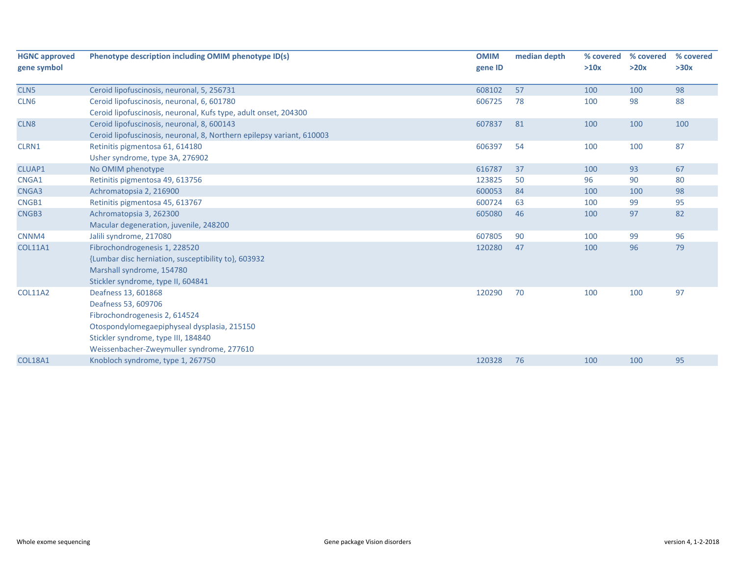| <b>HGNC approved</b> | Phenotype description including OMIM phenotype ID(s)                  | <b>OMIM</b> | median depth | % covered | % covered | % covered |
|----------------------|-----------------------------------------------------------------------|-------------|--------------|-----------|-----------|-----------|
| gene symbol          |                                                                       | gene ID     |              | >10x      | >20x      | >30x      |
|                      |                                                                       |             |              |           |           |           |
| CLN <sub>5</sub>     | Ceroid lipofuscinosis, neuronal, 5, 256731                            | 608102      | 57           | 100       | 100       | 98        |
| CLN <sub>6</sub>     | Ceroid lipofuscinosis, neuronal, 6, 601780                            | 606725      | 78           | 100       | 98        | 88        |
|                      | Ceroid lipofuscinosis, neuronal, Kufs type, adult onset, 204300       |             |              |           |           |           |
| CLN <sub>8</sub>     | Ceroid lipofuscinosis, neuronal, 8, 600143                            | 607837      | 81           | 100       | 100       | 100       |
|                      | Ceroid lipofuscinosis, neuronal, 8, Northern epilepsy variant, 610003 |             |              |           |           |           |
| CLRN1                | Retinitis pigmentosa 61, 614180                                       | 606397      | 54           | 100       | 100       | 87        |
|                      | Usher syndrome, type 3A, 276902                                       |             |              |           |           |           |
| CLUAP1               | No OMIM phenotype                                                     | 616787      | 37           | 100       | 93        | 67        |
| CNGA1                | Retinitis pigmentosa 49, 613756                                       | 123825      | 50           | 96        | 90        | 80        |
| CNGA3                | Achromatopsia 2, 216900                                               | 600053      | 84           | 100       | 100       | 98        |
| CNGB1                | Retinitis pigmentosa 45, 613767                                       | 600724      | 63           | 100       | 99        | 95        |
| CNGB3                | Achromatopsia 3, 262300                                               | 605080      | 46           | 100       | 97        | 82        |
|                      | Macular degeneration, juvenile, 248200                                |             |              |           |           |           |
| CNNM4                | Jalili syndrome, 217080                                               | 607805      | 90           | 100       | 99        | 96        |
| <b>COL11A1</b>       | Fibrochondrogenesis 1, 228520                                         | 120280      | 47           | 100       | 96        | 79        |
|                      | {Lumbar disc herniation, susceptibility to}, 603932                   |             |              |           |           |           |
|                      | Marshall syndrome, 154780                                             |             |              |           |           |           |
|                      | Stickler syndrome, type II, 604841                                    |             |              |           |           |           |
| <b>COL11A2</b>       | Deafness 13, 601868                                                   | 120290      | 70           | 100       | 100       | 97        |
|                      | Deafness 53, 609706                                                   |             |              |           |           |           |
|                      | Fibrochondrogenesis 2, 614524                                         |             |              |           |           |           |
|                      | Otospondylomegaepiphyseal dysplasia, 215150                           |             |              |           |           |           |
|                      | Stickler syndrome, type III, 184840                                   |             |              |           |           |           |
|                      | Weissenbacher-Zweymuller syndrome, 277610                             |             |              |           |           |           |
| <b>COL18A1</b>       | Knobloch syndrome, type 1, 267750                                     | 120328      | 76           | 100       | 100       | 95        |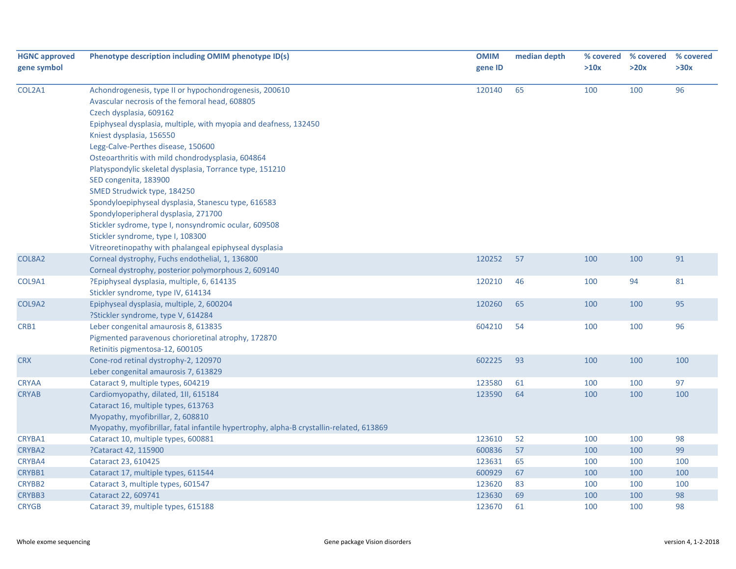| <b>HGNC approved</b> | Phenotype description including OMIM phenotype ID(s)                                    | <b>OMIM</b> | median depth | % covered | % covered | % covered |
|----------------------|-----------------------------------------------------------------------------------------|-------------|--------------|-----------|-----------|-----------|
| gene symbol          |                                                                                         | gene ID     |              | >10x      | >20x      | >30x      |
| COL2A1               | Achondrogenesis, type II or hypochondrogenesis, 200610                                  | 120140      | 65           | 100       | 100       | 96        |
|                      | Avascular necrosis of the femoral head, 608805                                          |             |              |           |           |           |
|                      | Czech dysplasia, 609162                                                                 |             |              |           |           |           |
|                      | Epiphyseal dysplasia, multiple, with myopia and deafness, 132450                        |             |              |           |           |           |
|                      | Kniest dysplasia, 156550                                                                |             |              |           |           |           |
|                      | Legg-Calve-Perthes disease, 150600                                                      |             |              |           |           |           |
|                      | Osteoarthritis with mild chondrodysplasia, 604864                                       |             |              |           |           |           |
|                      | Platyspondylic skeletal dysplasia, Torrance type, 151210                                |             |              |           |           |           |
|                      | SED congenita, 183900                                                                   |             |              |           |           |           |
|                      | SMED Strudwick type, 184250                                                             |             |              |           |           |           |
|                      | Spondyloepiphyseal dysplasia, Stanescu type, 616583                                     |             |              |           |           |           |
|                      | Spondyloperipheral dysplasia, 271700                                                    |             |              |           |           |           |
|                      | Stickler sydrome, type I, nonsyndromic ocular, 609508                                   |             |              |           |           |           |
|                      | Stickler syndrome, type I, 108300                                                       |             |              |           |           |           |
|                      | Vitreoretinopathy with phalangeal epiphyseal dysplasia                                  |             |              |           |           |           |
| COL8A2               | Corneal dystrophy, Fuchs endothelial, 1, 136800                                         | 120252      | 57           | 100       | 100       | 91        |
|                      | Corneal dystrophy, posterior polymorphous 2, 609140                                     |             |              |           |           |           |
| COL9A1               | ?Epiphyseal dysplasia, multiple, 6, 614135<br>Stickler syndrome, type IV, 614134        | 120210      | 46           | 100       | 94        | 81        |
| COL9A2               | Epiphyseal dysplasia, multiple, 2, 600204                                               | 120260      | 65           |           |           | 95        |
|                      | ?Stickler syndrome, type V, 614284                                                      |             |              | 100       | 100       |           |
| CRB1                 | Leber congenital amaurosis 8, 613835                                                    | 604210      | 54           | 100       | 100       | 96        |
|                      | Pigmented paravenous chorioretinal atrophy, 172870                                      |             |              |           |           |           |
|                      | Retinitis pigmentosa-12, 600105                                                         |             |              |           |           |           |
| <b>CRX</b>           | Cone-rod retinal dystrophy-2, 120970                                                    | 602225      | 93           | 100       | 100       | 100       |
|                      | Leber congenital amaurosis 7, 613829                                                    |             |              |           |           |           |
| <b>CRYAA</b>         | Cataract 9, multiple types, 604219                                                      | 123580      | 61           | 100       | 100       | 97        |
| <b>CRYAB</b>         | Cardiomyopathy, dilated, 1II, 615184                                                    | 123590      | 64           | 100       | 100       | 100       |
|                      | Cataract 16, multiple types, 613763                                                     |             |              |           |           |           |
|                      | Myopathy, myofibrillar, 2, 608810                                                       |             |              |           |           |           |
|                      | Myopathy, myofibrillar, fatal infantile hypertrophy, alpha-B crystallin-related, 613869 |             |              |           |           |           |
| CRYBA1               | Cataract 10, multiple types, 600881                                                     | 123610      | 52           | 100       | 100       | 98        |
| CRYBA2               | ?Cataract 42, 115900                                                                    | 600836      | 57           | 100       | 100       | 99        |
| CRYBA4               | Cataract 23, 610425                                                                     | 123631      | 65           | 100       | 100       | 100       |
| CRYBB1               | Cataract 17, multiple types, 611544                                                     | 600929      | 67           | 100       | 100       | 100       |
| CRYBB2               | Cataract 3, multiple types, 601547                                                      | 123620      | 83           | 100       | 100       | 100       |
| CRYBB3               | Cataract 22, 609741                                                                     | 123630      | 69           | 100       | 100       | 98        |
| <b>CRYGB</b>         | Cataract 39, multiple types, 615188                                                     | 123670      | 61           | 100       | 100       | 98        |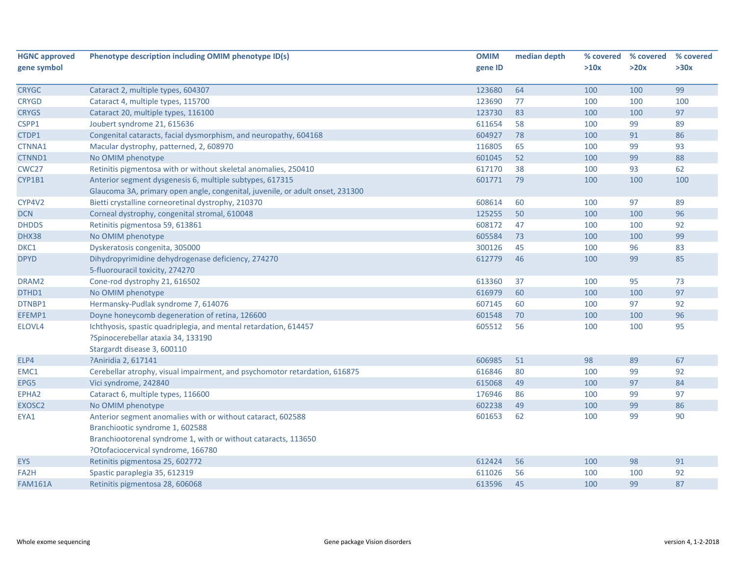| <b>HGNC approved</b> | Phenotype description including OMIM phenotype ID(s)                          | <b>OMIM</b> | median depth | % covered | % covered | % covered |
|----------------------|-------------------------------------------------------------------------------|-------------|--------------|-----------|-----------|-----------|
| gene symbol          |                                                                               | gene ID     |              | >10x      | >20x      | >30x      |
|                      |                                                                               |             |              |           |           |           |
| <b>CRYGC</b>         | Cataract 2, multiple types, 604307                                            | 123680      | 64           | 100       | 100       | 99        |
| <b>CRYGD</b>         | Cataract 4, multiple types, 115700                                            | 123690      | 77           | 100       | 100       | 100       |
| <b>CRYGS</b>         | Cataract 20, multiple types, 116100                                           | 123730      | 83           | 100       | 100       | 97        |
| CSPP1                | Joubert syndrome 21, 615636                                                   | 611654      | 58           | 100       | 99        | 89        |
| CTDP1                | Congenital cataracts, facial dysmorphism, and neuropathy, 604168              | 604927      | 78           | 100       | 91        | 86        |
| CTNNA1               | Macular dystrophy, patterned, 2, 608970                                       | 116805      | 65           | 100       | 99        | 93        |
| CTNND1               | No OMIM phenotype                                                             | 601045      | 52           | 100       | 99        | 88        |
| CWC <sub>27</sub>    | Retinitis pigmentosa with or without skeletal anomalies, 250410               | 617170      | 38           | 100       | 93        | 62        |
| CYP1B1               | Anterior segment dysgenesis 6, multiple subtypes, 617315                      | 601771      | 79           | 100       | 100       | 100       |
|                      | Glaucoma 3A, primary open angle, congenital, juvenile, or adult onset, 231300 |             |              |           |           |           |
| CYP4V2               | Bietti crystalline corneoretinal dystrophy, 210370                            | 608614      | 60           | 100       | 97        | 89        |
| <b>DCN</b>           | Corneal dystrophy, congenital stromal, 610048                                 | 125255      | 50           | 100       | 100       | 96        |
| <b>DHDDS</b>         | Retinitis pigmentosa 59, 613861                                               | 608172      | 47           | 100       | 100       | 92        |
| DHX38                | No OMIM phenotype                                                             | 605584      | 73           | 100       | 100       | 99        |
| DKC1                 | Dyskeratosis congenita, 305000                                                | 300126      | 45           | 100       | 96        | 83        |
| <b>DPYD</b>          | Dihydropyrimidine dehydrogenase deficiency, 274270                            | 612779      | 46           | 100       | 99        | 85        |
|                      | 5-fluorouracil toxicity, 274270                                               |             |              |           |           |           |
| DRAM2                | Cone-rod dystrophy 21, 616502                                                 | 613360      | 37           | 100       | 95        | 73        |
| DTHD1                | No OMIM phenotype                                                             | 616979      | 60           | 100       | 100       | 97        |
| DTNBP1               | Hermansky-Pudlak syndrome 7, 614076                                           | 607145      | 60           | 100       | 97        | 92        |
| EFEMP1               | Doyne honeycomb degeneration of retina, 126600                                | 601548      | 70           | 100       | 100       | 96        |
| ELOVL4               | Ichthyosis, spastic quadriplegia, and mental retardation, 614457              | 605512      | 56           | 100       | 100       | 95        |
|                      | ?Spinocerebellar ataxia 34, 133190                                            |             |              |           |           |           |
|                      | Stargardt disease 3, 600110                                                   |             |              |           |           |           |
| ELP4                 | ?Aniridia 2, 617141                                                           | 606985      | 51           | 98        | 89        | 67        |
| EMC1                 | Cerebellar atrophy, visual impairment, and psychomotor retardation, 616875    | 616846      | 80           | 100       | 99        | 92        |
| EPG5                 | Vici syndrome, 242840                                                         | 615068      | 49           | 100       | 97        | 84        |
| EPHA2                | Cataract 6, multiple types, 116600                                            | 176946      | 86           | 100       | 99        | 97        |
| EXOSC <sub>2</sub>   | No OMIM phenotype                                                             | 602238      | 49           | 100       | 99        | 86        |
| EYA1                 | Anterior segment anomalies with or without cataract, 602588                   | 601653      | 62           | 100       | 99        | 90        |
|                      | Branchiootic syndrome 1, 602588                                               |             |              |           |           |           |
|                      | Branchiootorenal syndrome 1, with or without cataracts, 113650                |             |              |           |           |           |
|                      | ?Otofaciocervical syndrome, 166780                                            |             |              |           |           |           |
| <b>EYS</b>           | Retinitis pigmentosa 25, 602772                                               | 612424      | 56           | 100       | 98        | 91        |
| FA <sub>2</sub> H    | Spastic paraplegia 35, 612319                                                 | 611026      | 56           | 100       | 100       | 92        |
| <b>FAM161A</b>       | Retinitis pigmentosa 28, 606068                                               | 613596      | 45           | 100       | 99        | 87        |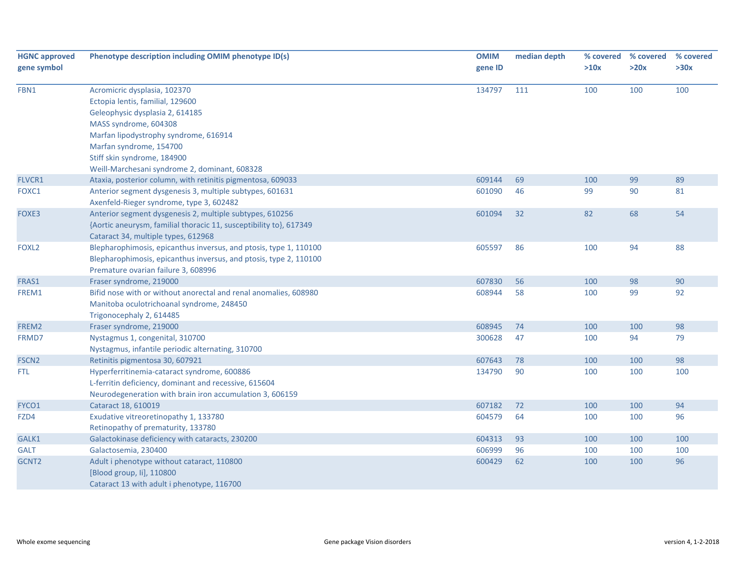| <b>HGNC approved</b> | Phenotype description including OMIM phenotype ID(s)               | <b>OMIM</b> | median depth | % covered | % covered | % covered |
|----------------------|--------------------------------------------------------------------|-------------|--------------|-----------|-----------|-----------|
| gene symbol          |                                                                    | gene ID     |              | >10x      | >20x      | >30x      |
| FBN1                 | Acromicric dysplasia, 102370                                       | 134797      | 111          | 100       | 100       | 100       |
|                      | Ectopia lentis, familial, 129600                                   |             |              |           |           |           |
|                      | Geleophysic dysplasia 2, 614185                                    |             |              |           |           |           |
|                      | MASS syndrome, 604308                                              |             |              |           |           |           |
|                      | Marfan lipodystrophy syndrome, 616914                              |             |              |           |           |           |
|                      | Marfan syndrome, 154700                                            |             |              |           |           |           |
|                      | Stiff skin syndrome, 184900                                        |             |              |           |           |           |
|                      | Weill-Marchesani syndrome 2, dominant, 608328                      |             |              |           |           |           |
| <b>FLVCR1</b>        | Ataxia, posterior column, with retinitis pigmentosa, 609033        | 609144      | 69           | 100       | 99        | 89        |
| FOXC1                | Anterior segment dysgenesis 3, multiple subtypes, 601631           | 601090      | 46           | 99        | 90        | 81        |
|                      | Axenfeld-Rieger syndrome, type 3, 602482                           |             |              |           |           |           |
| FOXE3                | Anterior segment dysgenesis 2, multiple subtypes, 610256           | 601094      | 32           | 82        | 68        | 54        |
|                      | {Aortic aneurysm, familial thoracic 11, susceptibility to}, 617349 |             |              |           |           |           |
|                      | Cataract 34, multiple types, 612968                                |             |              |           |           |           |
| FOXL <sub>2</sub>    | Blepharophimosis, epicanthus inversus, and ptosis, type 1, 110100  | 605597      | 86           | 100       | 94        | 88        |
|                      | Blepharophimosis, epicanthus inversus, and ptosis, type 2, 110100  |             |              |           |           |           |
|                      | Premature ovarian failure 3, 608996                                |             |              |           |           |           |
| FRAS1                | Fraser syndrome, 219000                                            | 607830      | 56           | 100       | 98        | 90        |
| FREM1                | Bifid nose with or without anorectal and renal anomalies, 608980   | 608944      | 58           | 100       | 99        | 92        |
|                      | Manitoba oculotrichoanal syndrome, 248450                          |             |              |           |           |           |
|                      | Trigonocephaly 2, 614485                                           |             |              |           |           |           |
| FREM2                | Fraser syndrome, 219000                                            | 608945      | 74           | 100       | 100       | 98        |
| FRMD7                | Nystagmus 1, congenital, 310700                                    | 300628      | 47           | 100       | 94        | 79        |
|                      | Nystagmus, infantile periodic alternating, 310700                  |             |              |           |           |           |
| FSCN <sub>2</sub>    | Retinitis pigmentosa 30, 607921                                    | 607643      | 78           | 100       | 100       | 98        |
| FTL.                 | Hyperferritinemia-cataract syndrome, 600886                        | 134790      | 90           | 100       | 100       | 100       |
|                      | L-ferritin deficiency, dominant and recessive, 615604              |             |              |           |           |           |
|                      | Neurodegeneration with brain iron accumulation 3, 606159           |             |              |           |           |           |
| FYCO1                | Cataract 18, 610019                                                | 607182      | 72           | 100       | 100       | 94        |
| FZD4                 | Exudative vitreoretinopathy 1, 133780                              | 604579      | 64           | 100       | 100       | 96        |
|                      | Retinopathy of prematurity, 133780                                 |             |              |           |           |           |
| GALK1                | Galactokinase deficiency with cataracts, 230200                    | 604313      | 93           | 100       | 100       | 100       |
| <b>GALT</b>          | Galactosemia, 230400                                               | 606999      | 96           | 100       | 100       | 100       |
| GCNT2                | Adult i phenotype without cataract, 110800                         | 600429      | 62           | 100       | 100       | 96        |
|                      | [Blood group, li], 110800                                          |             |              |           |           |           |
|                      | Cataract 13 with adult i phenotype, 116700                         |             |              |           |           |           |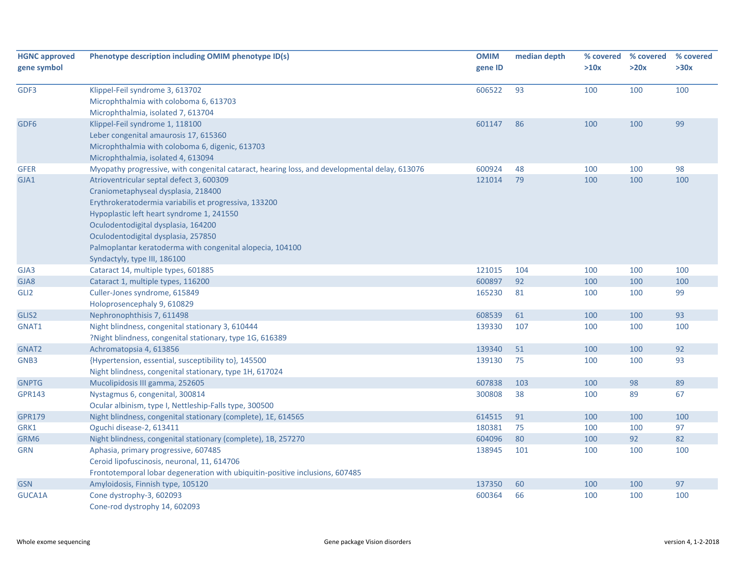| <b>HGNC approved</b><br>gene symbol | Phenotype description including OMIM phenotype ID(s)                                                                                                                                                                                                                                                                                                             | <b>OMIM</b><br>gene ID | median depth | % covered<br>>10x | % covered<br>>20x | % covered<br>>30x |
|-------------------------------------|------------------------------------------------------------------------------------------------------------------------------------------------------------------------------------------------------------------------------------------------------------------------------------------------------------------------------------------------------------------|------------------------|--------------|-------------------|-------------------|-------------------|
| GDF3                                | Klippel-Feil syndrome 3, 613702<br>Microphthalmia with coloboma 6, 613703<br>Microphthalmia, isolated 7, 613704                                                                                                                                                                                                                                                  | 606522                 | 93           | 100               | 100               | 100               |
| GDF <sub>6</sub>                    | Klippel-Feil syndrome 1, 118100<br>Leber congenital amaurosis 17, 615360<br>Microphthalmia with coloboma 6, digenic, 613703<br>Microphthalmia, isolated 4, 613094                                                                                                                                                                                                | 601147                 | 86           | 100               | 100               | 99                |
| <b>GFER</b>                         | Myopathy progressive, with congenital cataract, hearing loss, and developmental delay, 613076                                                                                                                                                                                                                                                                    | 600924                 | 48           | 100               | 100               | 98                |
| GJA1                                | Atrioventricular septal defect 3, 600309<br>Craniometaphyseal dysplasia, 218400<br>Erythrokeratodermia variabilis et progressiva, 133200<br>Hypoplastic left heart syndrome 1, 241550<br>Oculodentodigital dysplasia, 164200<br>Oculodentodigital dysplasia, 257850<br>Palmoplantar keratoderma with congenital alopecia, 104100<br>Syndactyly, type III, 186100 | 121014                 | 79           | 100               | 100               | 100               |
| GJA3                                | Cataract 14, multiple types, 601885                                                                                                                                                                                                                                                                                                                              | 121015                 | 104          | 100               | 100               | 100               |
| GJA8                                | Cataract 1, multiple types, 116200                                                                                                                                                                                                                                                                                                                               | 600897                 | 92           | 100               | 100               | 100               |
| GLI <sub>2</sub>                    | Culler-Jones syndrome, 615849<br>Holoprosencephaly 9, 610829                                                                                                                                                                                                                                                                                                     | 165230                 | 81           | 100               | 100               | 99                |
| GLIS2                               | Nephronophthisis 7, 611498                                                                                                                                                                                                                                                                                                                                       | 608539                 | 61           | 100               | 100               | 93                |
| GNAT1                               | Night blindness, congenital stationary 3, 610444<br>?Night blindness, congenital stationary, type 1G, 616389                                                                                                                                                                                                                                                     | 139330                 | 107          | 100               | 100               | 100               |
| GNAT2                               | Achromatopsia 4, 613856                                                                                                                                                                                                                                                                                                                                          | 139340                 | 51           | 100               | 100               | 92                |
| GNB3                                | {Hypertension, essential, susceptibility to}, 145500<br>Night blindness, congenital stationary, type 1H, 617024                                                                                                                                                                                                                                                  | 139130                 | 75           | 100               | 100               | 93                |
| <b>GNPTG</b>                        | Mucolipidosis III gamma, 252605                                                                                                                                                                                                                                                                                                                                  | 607838                 | 103          | 100               | 98                | 89                |
| <b>GPR143</b>                       | Nystagmus 6, congenital, 300814<br>Ocular albinism, type I, Nettleship-Falls type, 300500                                                                                                                                                                                                                                                                        | 300808                 | 38           | 100               | 89                | 67                |
| <b>GPR179</b>                       | Night blindness, congenital stationary (complete), 1E, 614565                                                                                                                                                                                                                                                                                                    | 614515                 | 91           | 100               | 100               | 100               |
| GRK1                                | Oguchi disease-2, 613411                                                                                                                                                                                                                                                                                                                                         | 180381                 | 75           | 100               | 100               | 97                |
| GRM6                                | Night blindness, congenital stationary (complete), 1B, 257270                                                                                                                                                                                                                                                                                                    | 604096                 | 80           | 100               | 92                | 82                |
| <b>GRN</b>                          | Aphasia, primary progressive, 607485<br>Ceroid lipofuscinosis, neuronal, 11, 614706<br>Frontotemporal lobar degeneration with ubiquitin-positive inclusions, 607485                                                                                                                                                                                              | 138945                 | 101          | 100               | 100               | 100               |
| <b>GSN</b>                          | Amyloidosis, Finnish type, 105120                                                                                                                                                                                                                                                                                                                                | 137350                 | 60           | 100               | 100               | 97                |
| GUCA1A                              | Cone dystrophy-3, 602093<br>Cone-rod dystrophy 14, 602093                                                                                                                                                                                                                                                                                                        | 600364                 | 66           | 100               | 100               | 100               |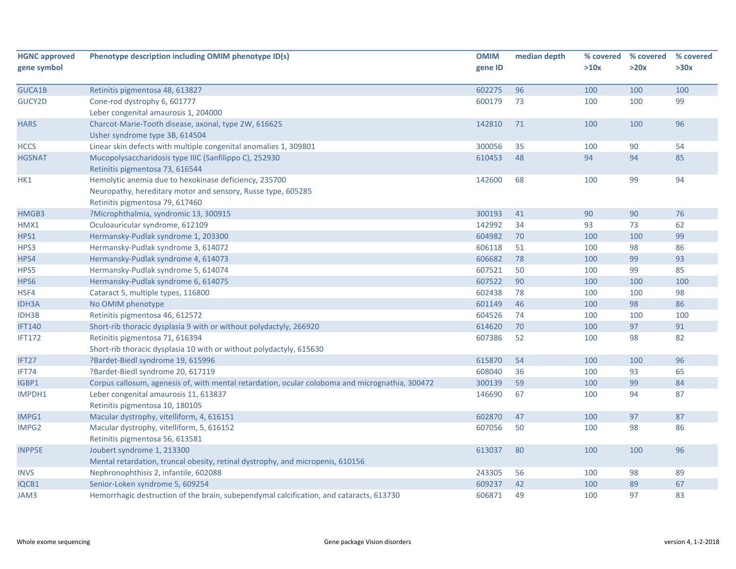| <b>HGNC approved</b> | Phenotype description including OMIM phenotype ID(s)                                            | <b>OMIM</b> | median depth | % covered | % covered | % covered |
|----------------------|-------------------------------------------------------------------------------------------------|-------------|--------------|-----------|-----------|-----------|
| gene symbol          |                                                                                                 | gene ID     |              | >10x      | >20x      | >30x      |
|                      |                                                                                                 |             |              |           |           |           |
| GUCA1B               | Retinitis pigmentosa 48, 613827                                                                 | 602275      | 96           | 100       | 100       | 100       |
| GUCY2D               | Cone-rod dystrophy 6, 601777                                                                    | 600179      | 73           | 100       | 100       | 99        |
|                      | Leber congenital amaurosis 1, 204000                                                            |             |              |           |           |           |
| <b>HARS</b>          | Charcot-Marie-Tooth disease, axonal, type 2W, 616625                                            | 142810      | 71           | 100       | 100       | 96        |
|                      | Usher syndrome type 3B, 614504                                                                  |             |              |           |           |           |
| <b>HCCS</b>          | Linear skin defects with multiple congenital anomalies 1, 309801                                | 300056      | 35           | 100       | 90        | 54        |
| <b>HGSNAT</b>        | Mucopolysaccharidosis type IIIC (Sanfilippo C), 252930                                          | 610453      | 48           | 94        | 94        | 85        |
|                      | Retinitis pigmentosa 73, 616544                                                                 |             |              |           |           |           |
| HK1                  | Hemolytic anemia due to hexokinase deficiency, 235700                                           | 142600      | 68           | 100       | 99        | 94        |
|                      | Neuropathy, hereditary motor and sensory, Russe type, 605285                                    |             |              |           |           |           |
|                      | Retinitis pigmentosa 79, 617460                                                                 |             |              |           |           |           |
| HMGB3                | ?Microphthalmia, syndromic 13, 300915                                                           | 300193      | 41           | 90        | 90        | 76        |
| HMX1                 | Oculoauricular syndrome, 612109                                                                 | 142992      | 34           | 93        | 73        | 62        |
| HPS1                 | Hermansky-Pudlak syndrome 1, 203300                                                             | 604982      | 70           | 100       | 100       | 99        |
| HPS3                 | Hermansky-Pudlak syndrome 3, 614072                                                             | 606118      | 51           | 100       | 98        | 86        |
| HPS4                 | Hermansky-Pudlak syndrome 4, 614073                                                             | 606682      | 78           | 100       | 99        | 93        |
| HPS5                 | Hermansky-Pudlak syndrome 5, 614074                                                             | 607521      | 50           | 100       | 99        | 85        |
| HPS6                 | Hermansky-Pudlak syndrome 6, 614075                                                             | 607522      | 90           | 100       | 100       | 100       |
| HSF4                 | Cataract 5, multiple types, 116800                                                              | 602438      | 78           | 100       | 100       | 98        |
| <b>IDH3A</b>         | No OMIM phenotype                                                                               | 601149      | 46           | 100       | 98        | 86        |
| IDH3B                | Retinitis pigmentosa 46, 612572                                                                 | 604526      | 74           | 100       | 100       | 100       |
| <b>IFT140</b>        | Short-rib thoracic dysplasia 9 with or without polydactyly, 266920                              | 614620      | 70           | 100       | 97        | 91        |
| <b>IFT172</b>        | Retinitis pigmentosa 71, 616394                                                                 | 607386      | 52           | 100       | 98        | 82        |
|                      | Short-rib thoracic dysplasia 10 with or without polydactyly, 615630                             |             |              |           |           |           |
| IFT27                | ?Bardet-Biedl syndrome 19, 615996                                                               | 615870      | 54           | 100       | 100       | 96        |
| IFT74                | ?Bardet-Biedl syndrome 20, 617119                                                               | 608040      | 36           | 100       | 93        | 65        |
| IGBP1                | Corpus callosum, agenesis of, with mental retardation, ocular coloboma and micrognathia, 300472 | 300139      | 59           | 100       | 99        | 84        |
| IMPDH1               | Leber congenital amaurosis 11, 613837                                                           | 146690      | 67           | 100       | 94        | 87        |
|                      | Retinitis pigmentosa 10, 180105                                                                 |             |              |           |           |           |
| IMPG1                | Macular dystrophy, vitelliform, 4, 616151                                                       | 602870      | 47           | 100       | 97        | 87        |
| IMPG2                | Macular dystrophy, vitelliform, 5, 616152                                                       | 607056      | 50           | 100       | 98        | 86        |
|                      | Retinitis pigmentosa 56, 613581                                                                 |             |              |           |           |           |
| <b>INPP5E</b>        | Joubert syndrome 1, 213300                                                                      | 613037      | 80           | 100       | 100       | 96        |
|                      | Mental retardation, truncal obesity, retinal dystrophy, and micropenis, 610156                  |             |              |           |           |           |
| <b>INVS</b>          | Nephronophthisis 2, infantile, 602088                                                           | 243305      | 56           | 100       | 98        | 89        |
| IQCB1                | Senior-Loken syndrome 5, 609254                                                                 | 609237      | 42           | 100       | 89        | 67        |
| JAM3                 | Hemorrhagic destruction of the brain, subependymal calcification, and cataracts, 613730         | 606871      | 49           | 100       | 97        | 83        |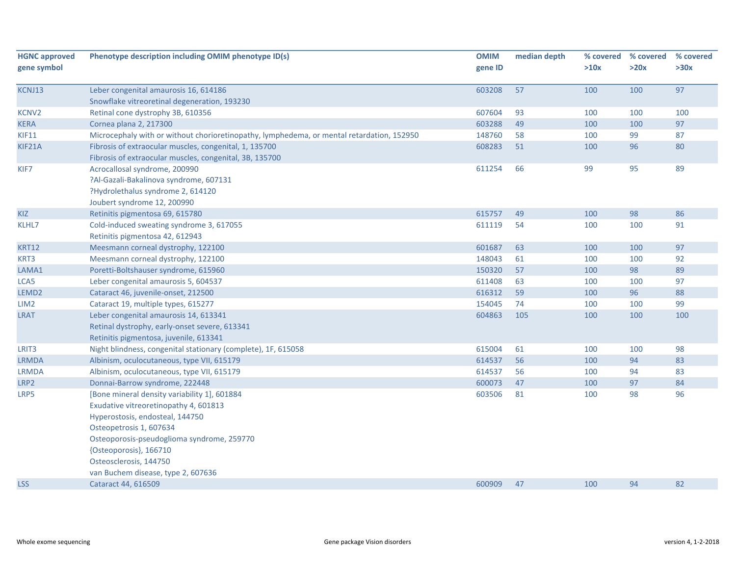| <b>HGNC approved</b><br>gene symbol | Phenotype description including OMIM phenotype ID(s)                                      | <b>OMIM</b><br>gene ID | median depth | % covered<br>>10x | % covered<br>>20x | % covered<br>>30x |
|-------------------------------------|-------------------------------------------------------------------------------------------|------------------------|--------------|-------------------|-------------------|-------------------|
| KCNJ13                              | Leber congenital amaurosis 16, 614186                                                     | 603208                 | 57           | 100               | 100               | 97                |
|                                     | Snowflake vitreoretinal degeneration, 193230                                              |                        |              |                   |                   |                   |
| <b>KCNV2</b>                        | Retinal cone dystrophy 3B, 610356                                                         | 607604                 | 93           | 100               | 100               | 100               |
| <b>KERA</b>                         | Cornea plana 2, 217300                                                                    | 603288                 | 49           | 100               | 100               | 97                |
| <b>KIF11</b>                        | Microcephaly with or without chorioretinopathy, lymphedema, or mental retardation, 152950 | 148760                 | 58           | 100               | 99                | 87                |
| KIF21A                              | Fibrosis of extraocular muscles, congenital, 1, 135700                                    | 608283                 | 51           | 100               | 96                | 80                |
|                                     | Fibrosis of extraocular muscles, congenital, 3B, 135700                                   |                        |              |                   |                   |                   |
| KIF7                                | Acrocallosal syndrome, 200990                                                             | 611254                 | 66           | 99                | 95                | 89                |
|                                     | ?Al-Gazali-Bakalinova syndrome, 607131                                                    |                        |              |                   |                   |                   |
|                                     | ?Hydrolethalus syndrome 2, 614120                                                         |                        |              |                   |                   |                   |
|                                     | Joubert syndrome 12, 200990                                                               |                        |              |                   |                   |                   |
| KIZ                                 | Retinitis pigmentosa 69, 615780                                                           | 615757                 | 49           | 100               | 98                | 86                |
| KLHL7                               | Cold-induced sweating syndrome 3, 617055                                                  | 611119                 | 54           | 100               | 100               | 91                |
|                                     | Retinitis pigmentosa 42, 612943                                                           |                        |              |                   |                   |                   |
| <b>KRT12</b>                        | Meesmann corneal dystrophy, 122100                                                        | 601687                 | 63           | 100               | 100               | 97                |
| KRT3                                | Meesmann corneal dystrophy, 122100                                                        | 148043                 | 61           | 100               | 100               | 92                |
| LAMA1                               | Poretti-Boltshauser syndrome, 615960                                                      | 150320                 | 57           | 100               | 98                | 89                |
| LCA5                                | Leber congenital amaurosis 5, 604537                                                      | 611408                 | 63           | 100               | 100               | 97                |
| LEMD <sub>2</sub>                   | Cataract 46, juvenile-onset, 212500                                                       | 616312                 | 59           | 100               | 96                | 88                |
| LIM <sub>2</sub>                    | Cataract 19, multiple types, 615277                                                       | 154045                 | 74           | 100               | 100               | 99                |
| <b>LRAT</b>                         | Leber congenital amaurosis 14, 613341                                                     | 604863                 | 105          | 100               | 100               | 100               |
|                                     | Retinal dystrophy, early-onset severe, 613341                                             |                        |              |                   |                   |                   |
|                                     | Retinitis pigmentosa, juvenile, 613341                                                    |                        |              |                   |                   |                   |
| LRIT <sub>3</sub>                   | Night blindness, congenital stationary (complete), 1F, 615058                             | 615004                 | 61           | 100               | 100               | 98                |
| <b>LRMDA</b>                        | Albinism, oculocutaneous, type VII, 615179                                                | 614537                 | 56           | 100               | 94                | 83                |
| <b>LRMDA</b>                        | Albinism, oculocutaneous, type VII, 615179                                                | 614537                 | 56           | 100               | 94                | 83                |
| LRP2                                | Donnai-Barrow syndrome, 222448                                                            | 600073                 | 47           | 100               | 97                | 84                |
| LRP5                                | [Bone mineral density variability 1], 601884                                              | 603506                 | 81           | 100               | 98                | 96                |
|                                     | Exudative vitreoretinopathy 4, 601813                                                     |                        |              |                   |                   |                   |
|                                     | Hyperostosis, endosteal, 144750                                                           |                        |              |                   |                   |                   |
|                                     | Osteopetrosis 1, 607634                                                                   |                        |              |                   |                   |                   |
|                                     | Osteoporosis-pseudoglioma syndrome, 259770                                                |                        |              |                   |                   |                   |
|                                     | {Osteoporosis}, 166710                                                                    |                        |              |                   |                   |                   |
|                                     | Osteosclerosis, 144750                                                                    |                        |              |                   |                   |                   |
|                                     | van Buchem disease, type 2, 607636                                                        |                        |              |                   |                   |                   |
| <b>LSS</b>                          | Cataract 44, 616509                                                                       | 600909                 | 47           | 100               | 94                | 82                |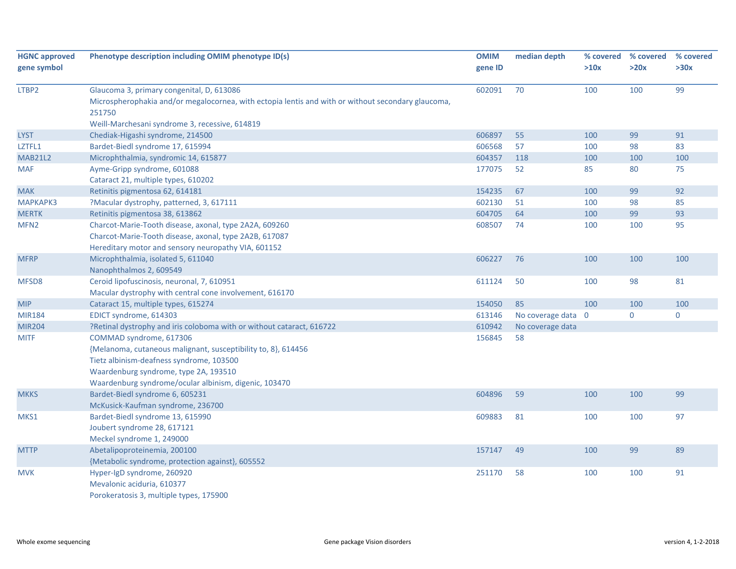| <b>HGNC approved</b> | Phenotype description including OMIM phenotype ID(s)                                                                                                                                                                                   | <b>OMIM</b> | median depth       | % covered | % covered | % covered   |
|----------------------|----------------------------------------------------------------------------------------------------------------------------------------------------------------------------------------------------------------------------------------|-------------|--------------------|-----------|-----------|-------------|
| gene symbol          |                                                                                                                                                                                                                                        | gene ID     |                    | >10x      | >20x      | >30x        |
| LTBP2                | Glaucoma 3, primary congenital, D, 613086<br>Microspherophakia and/or megalocornea, with ectopia lentis and with or without secondary glaucoma,<br>251750                                                                              | 602091      | 70                 | 100       | 100       | 99          |
|                      | Weill-Marchesani syndrome 3, recessive, 614819                                                                                                                                                                                         |             |                    |           |           |             |
| <b>LYST</b>          | Chediak-Higashi syndrome, 214500                                                                                                                                                                                                       | 606897      | 55                 | 100       | 99        | 91          |
| LZTFL1               | Bardet-Biedl syndrome 17, 615994                                                                                                                                                                                                       | 606568      | 57                 | 100       | 98        | 83          |
| <b>MAB21L2</b>       | Microphthalmia, syndromic 14, 615877                                                                                                                                                                                                   | 604357      | 118                | 100       | 100       | 100         |
| <b>MAF</b>           | Ayme-Gripp syndrome, 601088                                                                                                                                                                                                            | 177075      | 52                 | 85        | 80        | 75          |
|                      | Cataract 21, multiple types, 610202                                                                                                                                                                                                    |             |                    |           |           |             |
| <b>MAK</b>           | Retinitis pigmentosa 62, 614181                                                                                                                                                                                                        | 154235      | 67                 | 100       | 99        | 92          |
| <b>МАРКАРКЗ</b>      | ?Macular dystrophy, patterned, 3, 617111                                                                                                                                                                                               | 602130      | 51                 | 100       | 98        | 85          |
| <b>MERTK</b>         | Retinitis pigmentosa 38, 613862                                                                                                                                                                                                        | 604705      | 64                 | 100       | 99        | 93          |
| MFN <sub>2</sub>     | Charcot-Marie-Tooth disease, axonal, type 2A2A, 609260<br>Charcot-Marie-Tooth disease, axonal, type 2A2B, 617087<br>Hereditary motor and sensory neuropathy VIA, 601152                                                                | 608507      | 74                 | 100       | 100       | 95          |
| <b>MFRP</b>          | Microphthalmia, isolated 5, 611040<br>Nanophthalmos 2, 609549                                                                                                                                                                          | 606227      | 76                 | 100       | 100       | 100         |
| MFSD8                | Ceroid lipofuscinosis, neuronal, 7, 610951<br>Macular dystrophy with central cone involvement, 616170                                                                                                                                  | 611124      | 50                 | 100       | 98        | 81          |
| <b>MIP</b>           | Cataract 15, multiple types, 615274                                                                                                                                                                                                    | 154050      | 85                 | 100       | 100       | 100         |
| <b>MIR184</b>        | EDICT syndrome, 614303                                                                                                                                                                                                                 | 613146      | No coverage data 0 |           | $\pmb{0}$ | $\mathbf 0$ |
| <b>MIR204</b>        | ?Retinal dystrophy and iris coloboma with or without cataract, 616722                                                                                                                                                                  | 610942      | No coverage data   |           |           |             |
| <b>MITF</b>          | COMMAD syndrome, 617306<br>{Melanoma, cutaneous malignant, susceptibility to, 8}, 614456<br>Tietz albinism-deafness syndrome, 103500<br>Waardenburg syndrome, type 2A, 193510<br>Waardenburg syndrome/ocular albinism, digenic, 103470 | 156845      | 58                 |           |           |             |
| <b>MKKS</b>          | Bardet-Biedl syndrome 6, 605231<br>McKusick-Kaufman syndrome, 236700                                                                                                                                                                   | 604896      | 59                 | 100       | 100       | 99          |
| MKS1                 | Bardet-Biedl syndrome 13, 615990<br>Joubert syndrome 28, 617121<br>Meckel syndrome 1, 249000                                                                                                                                           | 609883      | 81                 | 100       | 100       | 97          |
| <b>MTTP</b>          | Abetalipoproteinemia, 200100<br>{Metabolic syndrome, protection against}, 605552                                                                                                                                                       | 157147      | 49                 | 100       | 99        | 89          |
| <b>MVK</b>           | Hyper-IgD syndrome, 260920<br>Mevalonic aciduria, 610377<br>Porokeratosis 3, multiple types, 175900                                                                                                                                    | 251170      | 58                 | 100       | 100       | 91          |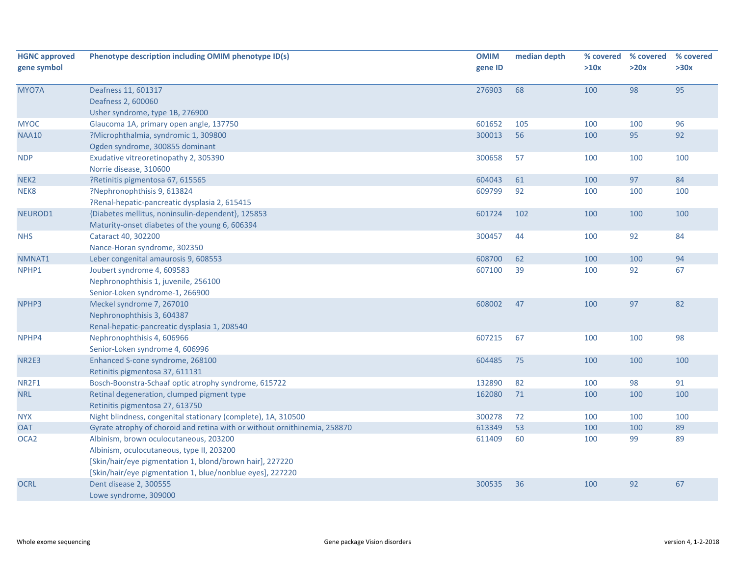| <b>HGNC approved</b><br>gene symbol | Phenotype description including OMIM phenotype ID(s)                      | <b>OMIM</b><br>gene ID | median depth | % covered<br>>10x | % covered<br>>20x | % covered<br>>30x |
|-------------------------------------|---------------------------------------------------------------------------|------------------------|--------------|-------------------|-------------------|-------------------|
|                                     |                                                                           |                        |              |                   |                   |                   |
| MYO7A                               | Deafness 11, 601317                                                       | 276903                 | 68           | 100               | 98                | 95                |
|                                     | Deafness 2, 600060                                                        |                        |              |                   |                   |                   |
|                                     | Usher syndrome, type 1B, 276900                                           |                        |              |                   |                   |                   |
| <b>MYOC</b>                         | Glaucoma 1A, primary open angle, 137750                                   | 601652                 | 105          | 100               | 100               | 96                |
| <b>NAA10</b>                        | ?Microphthalmia, syndromic 1, 309800                                      | 300013                 | 56           | 100               | 95                | 92                |
|                                     | Ogden syndrome, 300855 dominant                                           |                        |              |                   |                   |                   |
| <b>NDP</b>                          | Exudative vitreoretinopathy 2, 305390                                     | 300658                 | 57           | 100               | 100               | 100               |
|                                     | Norrie disease, 310600                                                    |                        |              |                   |                   |                   |
| NEK <sub>2</sub>                    | ?Retinitis pigmentosa 67, 615565                                          | 604043                 | 61           | 100               | 97                | 84                |
| NEK8                                | ?Nephronophthisis 9, 613824                                               | 609799                 | 92           | 100               | 100               | 100               |
|                                     | ?Renal-hepatic-pancreatic dysplasia 2, 615415                             |                        |              |                   |                   |                   |
| NEUROD1                             | {Diabetes mellitus, noninsulin-dependent}, 125853                         | 601724                 | 102          | 100               | 100               | 100               |
|                                     | Maturity-onset diabetes of the young 6, 606394                            |                        |              |                   |                   |                   |
| <b>NHS</b>                          | Cataract 40, 302200                                                       | 300457                 | 44           | 100               | 92                | 84                |
|                                     | Nance-Horan syndrome, 302350                                              |                        |              |                   |                   |                   |
| NMNAT1                              | Leber congenital amaurosis 9, 608553                                      | 608700                 | 62           | 100               | 100               | 94                |
| NPHP1                               | Joubert syndrome 4, 609583                                                | 607100                 | 39           | 100               | 92                | 67                |
|                                     | Nephronophthisis 1, juvenile, 256100                                      |                        |              |                   |                   |                   |
|                                     | Senior-Loken syndrome-1, 266900                                           |                        |              |                   |                   |                   |
| NPHP3                               | Meckel syndrome 7, 267010                                                 | 608002                 | 47           | 100               | 97                | 82                |
|                                     | Nephronophthisis 3, 604387                                                |                        |              |                   |                   |                   |
|                                     | Renal-hepatic-pancreatic dysplasia 1, 208540                              |                        |              |                   |                   |                   |
| NPHP4                               | Nephronophthisis 4, 606966                                                | 607215                 | 67           | 100               | 100               | 98                |
|                                     | Senior-Loken syndrome 4, 606996                                           |                        |              |                   |                   |                   |
| <b>NR2E3</b>                        | Enhanced S-cone syndrome, 268100                                          | 604485                 | 75           | 100               | 100               | 100               |
|                                     | Retinitis pigmentosa 37, 611131                                           |                        |              |                   |                   |                   |
| NR2F1                               | Bosch-Boonstra-Schaaf optic atrophy syndrome, 615722                      | 132890                 | 82           | 100               | 98                | 91                |
| <b>NRL</b>                          | Retinal degeneration, clumped pigment type                                | 162080                 | 71           | 100               | 100               | 100               |
|                                     | Retinitis pigmentosa 27, 613750                                           |                        |              |                   |                   |                   |
| <b>NYX</b>                          | Night blindness, congenital stationary (complete), 1A, 310500             | 300278                 | 72           | 100               | 100               | 100               |
| <b>OAT</b>                          | Gyrate atrophy of choroid and retina with or without ornithinemia, 258870 | 613349                 | 53           | 100               | 100               | 89                |
| OCA <sub>2</sub>                    | Albinism, brown oculocutaneous, 203200                                    | 611409                 | 60           | 100               | 99                | 89                |
|                                     | Albinism, oculocutaneous, type II, 203200                                 |                        |              |                   |                   |                   |
|                                     | [Skin/hair/eye pigmentation 1, blond/brown hair], 227220                  |                        |              |                   |                   |                   |
|                                     | [Skin/hair/eye pigmentation 1, blue/nonblue eyes], 227220                 |                        |              |                   |                   |                   |
| <b>OCRL</b>                         | Dent disease 2, 300555                                                    | 300535                 | 36           | 100               | 92                | 67                |
|                                     | Lowe syndrome, 309000                                                     |                        |              |                   |                   |                   |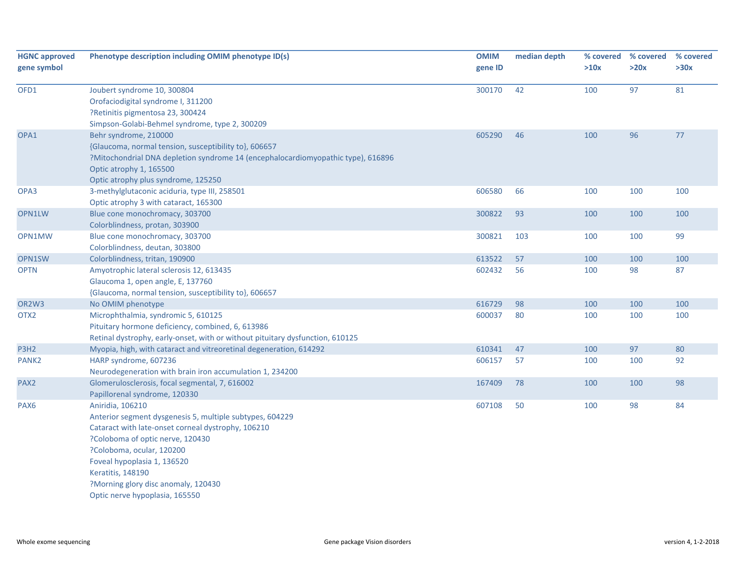| <b>HGNC approved</b><br>gene symbol | Phenotype description including OMIM phenotype ID(s)                             | <b>OMIM</b><br>gene ID | median depth | % covered<br>>10x | % covered<br>>20x | % covered<br>>30x |
|-------------------------------------|----------------------------------------------------------------------------------|------------------------|--------------|-------------------|-------------------|-------------------|
| OFD1                                | Joubert syndrome 10, 300804                                                      | 300170                 | 42           | 100               | 97                | 81                |
|                                     | Orofaciodigital syndrome I, 311200                                               |                        |              |                   |                   |                   |
|                                     | ?Retinitis pigmentosa 23, 300424                                                 |                        |              |                   |                   |                   |
|                                     | Simpson-Golabi-Behmel syndrome, type 2, 300209                                   |                        |              |                   |                   |                   |
| OPA1                                | Behr syndrome, 210000                                                            | 605290                 | 46           | 100               | 96                | 77                |
|                                     | {Glaucoma, normal tension, susceptibility to}, 606657                            |                        |              |                   |                   |                   |
|                                     | ?Mitochondrial DNA depletion syndrome 14 (encephalocardiomyopathic type), 616896 |                        |              |                   |                   |                   |
|                                     | Optic atrophy 1, 165500                                                          |                        |              |                   |                   |                   |
|                                     | Optic atrophy plus syndrome, 125250                                              |                        |              |                   |                   |                   |
| OPA3                                | 3-methylglutaconic aciduria, type III, 258501                                    | 606580                 | 66           | 100               | 100               | 100               |
|                                     | Optic atrophy 3 with cataract, 165300                                            |                        |              |                   |                   |                   |
| OPN1LW                              | Blue cone monochromacy, 303700                                                   | 300822                 | 93           | 100               | 100               | 100               |
|                                     | Colorblindness, protan, 303900                                                   |                        |              |                   |                   |                   |
| OPN1MW                              | Blue cone monochromacy, 303700                                                   | 300821                 | 103          | 100               | 100               | 99                |
|                                     | Colorblindness, deutan, 303800                                                   |                        |              |                   |                   |                   |
| OPN1SW                              | Colorblindness, tritan, 190900                                                   | 613522                 | 57           | 100               | 100               | 100               |
| <b>OPTN</b>                         | Amyotrophic lateral sclerosis 12, 613435                                         | 602432                 | 56           | 100               | 98                | 87                |
|                                     | Glaucoma 1, open angle, E, 137760                                                |                        |              |                   |                   |                   |
|                                     | {Glaucoma, normal tension, susceptibility to}, 606657                            |                        |              |                   |                   |                   |
| OR2W3                               | No OMIM phenotype                                                                | 616729                 | 98           | 100               | 100               | 100               |
| OTX <sub>2</sub>                    | Microphthalmia, syndromic 5, 610125                                              | 600037                 | 80           | 100               | 100               | 100               |
|                                     | Pituitary hormone deficiency, combined, 6, 613986                                |                        |              |                   |                   |                   |
|                                     | Retinal dystrophy, early-onset, with or without pituitary dysfunction, 610125    |                        |              |                   |                   |                   |
| P3H2                                | Myopia, high, with cataract and vitreoretinal degeneration, 614292               | 610341                 | 47           | 100               | 97                | 80                |
| PANK <sub>2</sub>                   | HARP syndrome, 607236                                                            | 606157                 | 57           | 100               | 100               | 92                |
|                                     | Neurodegeneration with brain iron accumulation 1, 234200                         |                        |              |                   |                   |                   |
| PAX <sub>2</sub>                    | Glomerulosclerosis, focal segmental, 7, 616002                                   | 167409                 | 78           | 100               | 100               | 98                |
|                                     | Papillorenal syndrome, 120330                                                    |                        |              |                   |                   |                   |
| PAX <sub>6</sub>                    | Aniridia, 106210                                                                 | 607108                 | 50           | 100               | 98                | 84                |
|                                     | Anterior segment dysgenesis 5, multiple subtypes, 604229                         |                        |              |                   |                   |                   |
|                                     | Cataract with late-onset corneal dystrophy, 106210                               |                        |              |                   |                   |                   |
|                                     | ?Coloboma of optic nerve, 120430                                                 |                        |              |                   |                   |                   |
|                                     | ?Coloboma, ocular, 120200                                                        |                        |              |                   |                   |                   |
|                                     | Foveal hypoplasia 1, 136520                                                      |                        |              |                   |                   |                   |
|                                     | Keratitis, 148190                                                                |                        |              |                   |                   |                   |
|                                     | ?Morning glory disc anomaly, 120430                                              |                        |              |                   |                   |                   |
|                                     | Optic nerve hypoplasia, 165550                                                   |                        |              |                   |                   |                   |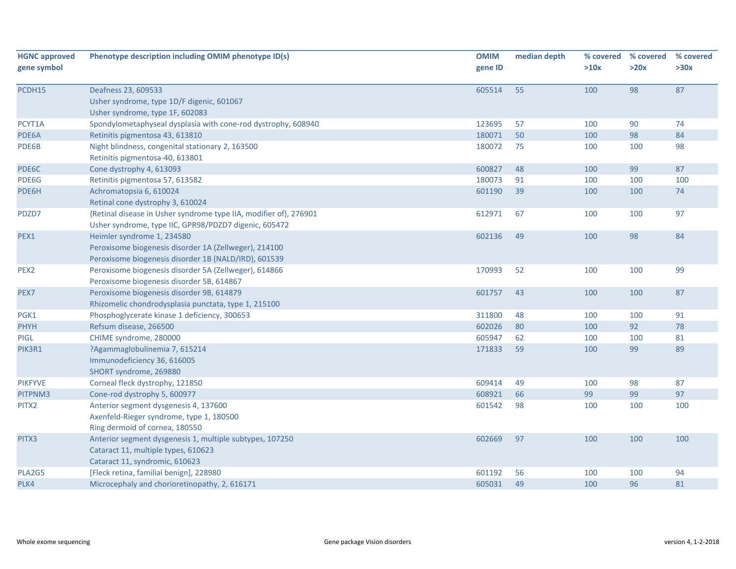| <b>HGNC approved</b> | Phenotype description including OMIM phenotype ID(s)              | <b>OMIM</b> | median depth | % covered | % covered | % covered |
|----------------------|-------------------------------------------------------------------|-------------|--------------|-----------|-----------|-----------|
| gene symbol          |                                                                   | gene ID     |              | >10x      | >20x      | >30x      |
| PCDH15               | Deafness 23, 609533                                               | 605514      | 55           | 100       | 98        | 87        |
|                      | Usher syndrome, type 1D/F digenic, 601067                         |             |              |           |           |           |
|                      | Usher syndrome, type 1F, 602083                                   |             |              |           |           |           |
| PCYT1A               | Spondylometaphyseal dysplasia with cone-rod dystrophy, 608940     | 123695      | 57           | 100       | 90        | 74        |
| PDE6A                | Retinitis pigmentosa 43, 613810                                   | 180071      | 50           | 100       | 98        | 84        |
| PDE6B                | Night blindness, congenital stationary 2, 163500                  | 180072      | 75           | 100       | 100       | 98        |
|                      | Retinitis pigmentosa-40, 613801                                   |             |              |           |           |           |
| PDE6C                | Cone dystrophy 4, 613093                                          | 600827      | 48           | 100       | 99        | 87        |
| PDE6G                | Retinitis pigmentosa 57, 613582                                   | 180073      | 91           | 100       | 100       | 100       |
| PDE6H                | Achromatopsia 6, 610024                                           | 601190      | 39           | 100       | 100       | 74        |
|                      | Retinal cone dystrophy 3, 610024                                  |             |              |           |           |           |
| PDZD7                | {Retinal disease in Usher syndrome type IIA, modifier of}, 276901 | 612971      | 67           | 100       | 100       | 97        |
|                      | Usher syndrome, type IIC, GPR98/PDZD7 digenic, 605472             |             |              |           |           |           |
| PEX1                 | Heimler syndrome 1, 234580                                        | 602136      | 49           | 100       | 98        | 84        |
|                      | Peroxisome biogenesis disorder 1A (Zellweger), 214100             |             |              |           |           |           |
|                      | Peroxisome biogenesis disorder 1B (NALD/IRD), 601539              |             |              |           |           |           |
| PEX <sub>2</sub>     | Peroxisome biogenesis disorder 5A (Zellweger), 614866             | 170993      | 52           | 100       | 100       | 99        |
|                      | Peroxisome biogenesis disorder 5B, 614867                         |             |              |           |           |           |
| PEX7                 | Peroxisome biogenesis disorder 9B, 614879                         | 601757      | 43           | 100       | 100       | 87        |
|                      | Rhizomelic chondrodysplasia punctata, type 1, 215100              |             |              |           |           |           |
| PGK1                 | Phosphoglycerate kinase 1 deficiency, 300653                      | 311800      | 48           | 100       | 100       | 91        |
| <b>PHYH</b>          | Refsum disease, 266500                                            | 602026      | 80           | 100       | 92        | 78        |
| PIGL                 | CHIME syndrome, 280000                                            | 605947      | 62           | 100       | 100       | 81        |
| PIK3R1               | ?Agammaglobulinemia 7, 615214                                     | 171833      | 59           | 100       | 99        | 89        |
|                      | Immunodeficiency 36, 616005                                       |             |              |           |           |           |
|                      | SHORT syndrome, 269880                                            |             |              |           |           |           |
| <b>PIKFYVE</b>       | Corneal fleck dystrophy, 121850                                   | 609414      | 49           | 100       | 98        | 87        |
| PITPNM3              | Cone-rod dystrophy 5, 600977                                      | 608921      | 66           | 99        | 99        | 97        |
| PITX2                | Anterior segment dysgenesis 4, 137600                             | 601542      | 98           | 100       | 100       | 100       |
|                      | Axenfeld-Rieger syndrome, type 1, 180500                          |             |              |           |           |           |
|                      | Ring dermoid of cornea, 180550                                    |             |              |           |           |           |
| PITX3                | Anterior segment dysgenesis 1, multiple subtypes, 107250          | 602669      | 97           | 100       | 100       | 100       |
|                      | Cataract 11, multiple types, 610623                               |             |              |           |           |           |
|                      | Cataract 11, syndromic, 610623                                    |             |              |           |           |           |
| PLA2G5               | [Fleck retina, familial benign], 228980                           | 601192      | 56           | 100       | 100       | 94        |
| PLK4                 | Microcephaly and chorioretinopathy, 2, 616171                     | 605031      | 49           | 100       | 96        | 81        |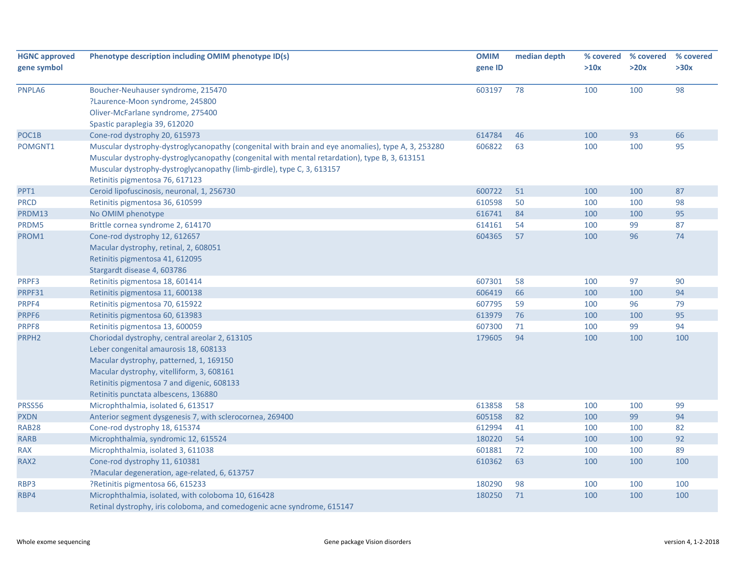| <b>HGNC approved</b><br>gene symbol | Phenotype description including OMIM phenotype ID(s)                                                                                                                                                                                                                                                             | <b>OMIM</b><br>gene ID | median depth | >10x | % covered % covered<br>>20x | % covered<br>>30x |
|-------------------------------------|------------------------------------------------------------------------------------------------------------------------------------------------------------------------------------------------------------------------------------------------------------------------------------------------------------------|------------------------|--------------|------|-----------------------------|-------------------|
| PNPLA6                              | Boucher-Neuhauser syndrome, 215470<br>?Laurence-Moon syndrome, 245800<br>Oliver-McFarlane syndrome, 275400<br>Spastic paraplegia 39, 612020                                                                                                                                                                      | 603197                 | 78           | 100  | 100                         | 98                |
| POC1B                               | Cone-rod dystrophy 20, 615973                                                                                                                                                                                                                                                                                    | 614784                 | 46           | 100  | 93                          | 66                |
| POMGNT1                             | Muscular dystrophy-dystroglycanopathy (congenital with brain and eye anomalies), type A, 3, 253280<br>Muscular dystrophy-dystroglycanopathy (congenital with mental retardation), type B, 3, 613151<br>Muscular dystrophy-dystroglycanopathy (limb-girdle), type C, 3, 613157<br>Retinitis pigmentosa 76, 617123 | 606822                 | 63           | 100  | 100                         | 95                |
| PPT1                                | Ceroid lipofuscinosis, neuronal, 1, 256730                                                                                                                                                                                                                                                                       | 600722                 | 51           | 100  | 100                         | 87                |
| <b>PRCD</b>                         | Retinitis pigmentosa 36, 610599                                                                                                                                                                                                                                                                                  | 610598                 | 50           | 100  | 100                         | 98                |
| PRDM13                              | No OMIM phenotype                                                                                                                                                                                                                                                                                                | 616741                 | 84           | 100  | 100                         | 95                |
| PRDM5                               | Brittle cornea syndrome 2, 614170                                                                                                                                                                                                                                                                                | 614161                 | 54           | 100  | 99                          | 87                |
| PROM1                               | Cone-rod dystrophy 12, 612657<br>Macular dystrophy, retinal, 2, 608051<br>Retinitis pigmentosa 41, 612095<br>Stargardt disease 4, 603786                                                                                                                                                                         | 604365                 | 57           | 100  | 96                          | 74                |
| PRPF3                               | Retinitis pigmentosa 18, 601414                                                                                                                                                                                                                                                                                  | 607301                 | 58           | 100  | 97                          | 90                |
| PRPF31                              | Retinitis pigmentosa 11, 600138                                                                                                                                                                                                                                                                                  | 606419                 | 66           | 100  | 100                         | 94                |
| PRPF4                               | Retinitis pigmentosa 70, 615922                                                                                                                                                                                                                                                                                  | 607795                 | 59           | 100  | 96                          | 79                |
| PRPF6                               | Retinitis pigmentosa 60, 613983                                                                                                                                                                                                                                                                                  | 613979                 | 76           | 100  | 100                         | 95                |
| PRPF8                               | Retinitis pigmentosa 13, 600059                                                                                                                                                                                                                                                                                  | 607300                 | 71           | 100  | 99                          | 94                |
| PRPH <sub>2</sub>                   | Choriodal dystrophy, central areolar 2, 613105<br>Leber congenital amaurosis 18, 608133<br>Macular dystrophy, patterned, 1, 169150<br>Macular dystrophy, vitelliform, 3, 608161<br>Retinitis pigmentosa 7 and digenic, 608133<br>Retinitis punctata albescens, 136880                                            | 179605                 | 94           | 100  | 100                         | 100               |
| PRSS56                              | Microphthalmia, isolated 6, 613517                                                                                                                                                                                                                                                                               | 613858                 | 58           | 100  | 100                         | 99                |
| <b>PXDN</b>                         | Anterior segment dysgenesis 7, with sclerocornea, 269400                                                                                                                                                                                                                                                         | 605158                 | 82           | 100  | 99                          | 94                |
| <b>RAB28</b>                        | Cone-rod dystrophy 18, 615374                                                                                                                                                                                                                                                                                    | 612994                 | 41           | 100  | 100                         | 82                |
| <b>RARB</b>                         | Microphthalmia, syndromic 12, 615524                                                                                                                                                                                                                                                                             | 180220                 | 54           | 100  | 100                         | 92                |
| <b>RAX</b>                          | Microphthalmia, isolated 3, 611038                                                                                                                                                                                                                                                                               | 601881                 | 72           | 100  | 100                         | 89                |
| RAX2                                | Cone-rod dystrophy 11, 610381<br>?Macular degeneration, age-related, 6, 613757                                                                                                                                                                                                                                   | 610362                 | 63           | 100  | 100                         | 100               |
| RBP3                                | ?Retinitis pigmentosa 66, 615233                                                                                                                                                                                                                                                                                 | 180290                 | 98           | 100  | 100                         | 100               |
| RBP4                                | Microphthalmia, isolated, with coloboma 10, 616428<br>Retinal dystrophy, iris coloboma, and comedogenic acne syndrome, 615147                                                                                                                                                                                    | 180250                 | 71           | 100  | 100                         | 100               |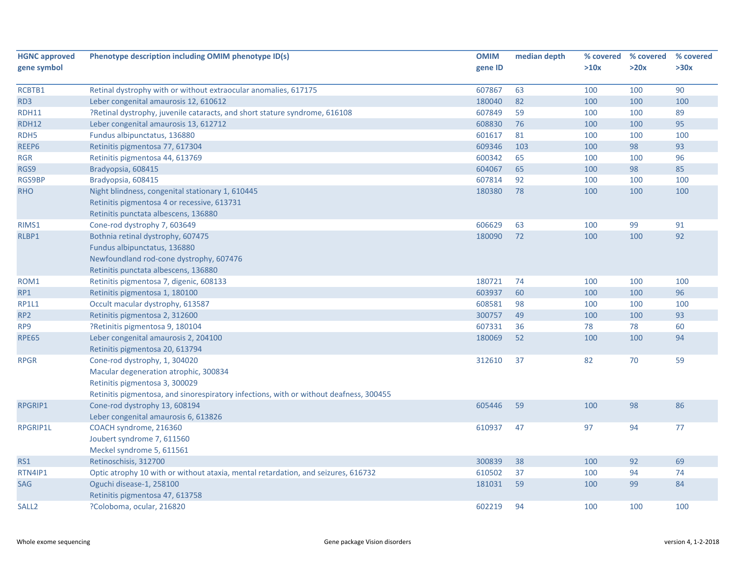| <b>HGNC approved</b> | Phenotype description including OMIM phenotype ID(s)                                   | <b>OMIM</b> | median depth | % covered | % covered | % covered |
|----------------------|----------------------------------------------------------------------------------------|-------------|--------------|-----------|-----------|-----------|
| gene symbol          |                                                                                        | gene ID     |              | >10x      | >20x      | >30x      |
|                      |                                                                                        |             |              |           |           |           |
| RCBTB1               | Retinal dystrophy with or without extraocular anomalies, 617175                        | 607867      | 63           | 100       | 100       | 90        |
| RD <sub>3</sub>      | Leber congenital amaurosis 12, 610612                                                  | 180040      | 82           | 100       | 100       | 100       |
| RDH11                | ?Retinal dystrophy, juvenile cataracts, and short stature syndrome, 616108             | 607849      | 59           | 100       | 100       | 89        |
| <b>RDH12</b>         | Leber congenital amaurosis 13, 612712                                                  | 608830      | 76           | 100       | 100       | 95        |
| RDH5                 | Fundus albipunctatus, 136880                                                           | 601617      | 81           | 100       | 100       | 100       |
| REEP6                | Retinitis pigmentosa 77, 617304                                                        | 609346      | 103          | 100       | 98        | 93        |
| <b>RGR</b>           | Retinitis pigmentosa 44, 613769                                                        | 600342      | 65           | 100       | 100       | 96        |
| RGS9                 | Bradyopsia, 608415                                                                     | 604067      | 65           | 100       | 98        | 85        |
| <b>RGS9BP</b>        | Bradyopsia, 608415                                                                     | 607814      | 92           | 100       | 100       | 100       |
| <b>RHO</b>           | Night blindness, congenital stationary 1, 610445                                       | 180380      | 78           | 100       | 100       | 100       |
|                      | Retinitis pigmentosa 4 or recessive, 613731                                            |             |              |           |           |           |
|                      | Retinitis punctata albescens, 136880                                                   |             |              |           |           |           |
| RIMS1                | Cone-rod dystrophy 7, 603649                                                           | 606629      | 63           | 100       | 99        | 91        |
| RLBP1                | Bothnia retinal dystrophy, 607475                                                      | 180090      | 72           | 100       | 100       | 92        |
|                      | Fundus albipunctatus, 136880                                                           |             |              |           |           |           |
|                      | Newfoundland rod-cone dystrophy, 607476                                                |             |              |           |           |           |
|                      | Retinitis punctata albescens, 136880                                                   |             |              |           |           |           |
| ROM1                 | Retinitis pigmentosa 7, digenic, 608133                                                | 180721      | 74           | 100       | 100       | 100       |
| RP1                  | Retinitis pigmentosa 1, 180100                                                         | 603937      | 60           | 100       | 100       | 96        |
| <b>RP1L1</b>         | Occult macular dystrophy, 613587                                                       | 608581      | 98           | 100       | 100       | 100       |
| RP <sub>2</sub>      | Retinitis pigmentosa 2, 312600                                                         | 300757      | 49           | 100       | 100       | 93        |
| RP9                  | ?Retinitis pigmentosa 9, 180104                                                        | 607331      | 36           | 78        | 78        | 60        |
| <b>RPE65</b>         | Leber congenital amaurosis 2, 204100                                                   | 180069      | 52           | 100       | 100       | 94        |
|                      | Retinitis pigmentosa 20, 613794                                                        |             |              |           |           |           |
| <b>RPGR</b>          | Cone-rod dystrophy, 1, 304020                                                          | 312610      | 37           | 82        | 70        | 59        |
|                      | Macular degeneration atrophic, 300834                                                  |             |              |           |           |           |
|                      | Retinitis pigmentosa 3, 300029                                                         |             |              |           |           |           |
|                      | Retinitis pigmentosa, and sinorespiratory infections, with or without deafness, 300455 |             |              |           |           |           |
| RPGRIP1              | Cone-rod dystrophy 13, 608194                                                          | 605446      | 59           | 100       | 98        | 86        |
|                      | Leber congenital amaurosis 6, 613826                                                   |             |              |           |           |           |
| <b>RPGRIP1L</b>      | COACH syndrome, 216360                                                                 | 610937      | 47           | 97        | 94        | 77        |
|                      | Joubert syndrome 7, 611560                                                             |             |              |           |           |           |
|                      | Meckel syndrome 5, 611561                                                              |             |              |           |           |           |
| RS1                  | Retinoschisis, 312700                                                                  | 300839      | 38           | 100       | 92        | 69        |
| RTN4IP1              | Optic atrophy 10 with or without ataxia, mental retardation, and seizures, 616732      | 610502      | 37           | 100       | 94        | 74        |
| SAG                  | Oguchi disease-1, 258100                                                               | 181031      | 59           | 100       | 99        | 84        |
|                      | Retinitis pigmentosa 47, 613758                                                        |             |              |           |           |           |
| SALL <sub>2</sub>    | ?Coloboma, ocular, 216820                                                              | 602219      | 94           | 100       | 100       | 100       |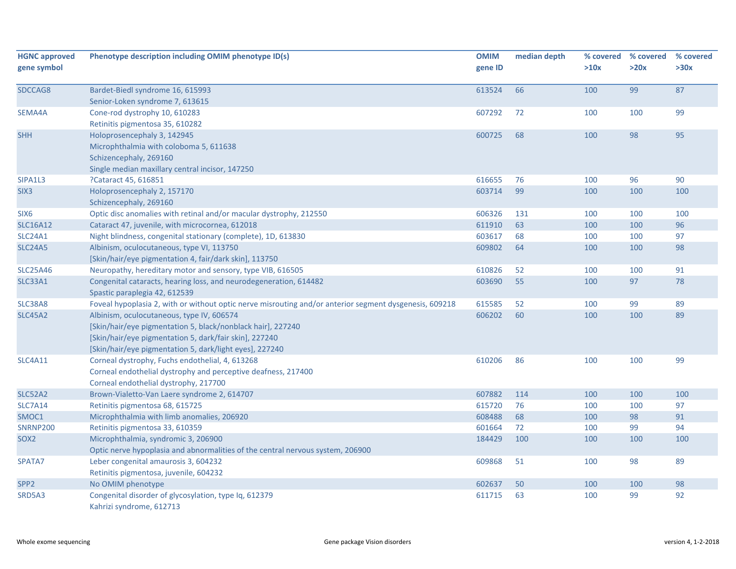| <b>HGNC approved</b><br>gene symbol | Phenotype description including OMIM phenotype ID(s)                                                   | <b>OMIM</b><br>gene ID | median depth | % covered<br>>10x | % covered<br>>20x | % covered<br>>30x |
|-------------------------------------|--------------------------------------------------------------------------------------------------------|------------------------|--------------|-------------------|-------------------|-------------------|
| SDCCAG8                             | Bardet-Biedl syndrome 16, 615993                                                                       | 613524                 | 66           | 100               | 99                | 87                |
|                                     | Senior-Loken syndrome 7, 613615                                                                        |                        |              |                   |                   |                   |
| SEMA4A                              | Cone-rod dystrophy 10, 610283                                                                          | 607292                 | 72           | 100               | 100               | 99                |
|                                     | Retinitis pigmentosa 35, 610282                                                                        |                        |              |                   |                   |                   |
| <b>SHH</b>                          | Holoprosencephaly 3, 142945<br>Microphthalmia with coloboma 5, 611638                                  | 600725                 | 68           | 100               | 98                | 95                |
|                                     | Schizencephaly, 269160                                                                                 |                        |              |                   |                   |                   |
|                                     |                                                                                                        |                        |              |                   |                   |                   |
| SIPA1L3                             | Single median maxillary central incisor, 147250<br>?Cataract 45, 616851                                | 616655                 | 76           | 100               | 96                | 90                |
| SIX <sub>3</sub>                    | Holoprosencephaly 2, 157170                                                                            | 603714                 | 99           | 100               | 100               | 100               |
|                                     | Schizencephaly, 269160                                                                                 |                        |              |                   |                   |                   |
| SIX <sub>6</sub>                    | Optic disc anomalies with retinal and/or macular dystrophy, 212550                                     | 606326                 | 131          | 100               | 100               | 100               |
| <b>SLC16A12</b>                     | Cataract 47, juvenile, with microcornea, 612018                                                        | 611910                 | 63           | 100               | 100               | 96                |
| <b>SLC24A1</b>                      | Night blindness, congenital stationary (complete), 1D, 613830                                          | 603617                 | 68           | 100               | 100               | 97                |
| <b>SLC24A5</b>                      | Albinism, oculocutaneous, type VI, 113750                                                              | 609802                 | 64           | 100               | 100               | 98                |
|                                     | [Skin/hair/eye pigmentation 4, fair/dark skin], 113750                                                 |                        |              |                   |                   |                   |
| <b>SLC25A46</b>                     | Neuropathy, hereditary motor and sensory, type VIB, 616505                                             | 610826                 | 52           | 100               | 100               | 91                |
| <b>SLC33A1</b>                      | Congenital cataracts, hearing loss, and neurodegeneration, 614482                                      | 603690                 | 55           | 100               | 97                | 78                |
|                                     | Spastic paraplegia 42, 612539                                                                          |                        |              |                   |                   |                   |
| SLC38A8                             | Foveal hypoplasia 2, with or without optic nerve misrouting and/or anterior segment dysgenesis, 609218 | 615585                 | 52           | 100               | 99                | 89                |
| <b>SLC45A2</b>                      | Albinism, oculocutaneous, type IV, 606574                                                              | 606202                 | 60           | 100               | 100               | 89                |
|                                     | [Skin/hair/eye pigmentation 5, black/nonblack hair], 227240                                            |                        |              |                   |                   |                   |
|                                     | [Skin/hair/eye pigmentation 5, dark/fair skin], 227240                                                 |                        |              |                   |                   |                   |
|                                     | [Skin/hair/eye pigmentation 5, dark/light eyes], 227240                                                |                        |              |                   |                   |                   |
| <b>SLC4A11</b>                      | Corneal dystrophy, Fuchs endothelial, 4, 613268                                                        | 610206                 | 86           | 100               | 100               | 99                |
|                                     | Corneal endothelial dystrophy and perceptive deafness, 217400                                          |                        |              |                   |                   |                   |
|                                     | Corneal endothelial dystrophy, 217700                                                                  |                        |              |                   |                   |                   |
| <b>SLC52A2</b>                      | Brown-Vialetto-Van Laere syndrome 2, 614707                                                            | 607882                 | 114          | 100               | 100               | 100               |
| <b>SLC7A14</b>                      | Retinitis pigmentosa 68, 615725                                                                        | 615720                 | 76           | 100               | 100               | 97                |
| SMOC1                               | Microphthalmia with limb anomalies, 206920                                                             | 608488                 | 68           | 100               | 98                | 91                |
| <b>SNRNP200</b>                     | Retinitis pigmentosa 33, 610359                                                                        | 601664                 | 72           | 100               | 99                | 94                |
| SOX <sub>2</sub>                    | Microphthalmia, syndromic 3, 206900                                                                    | 184429                 | 100          | 100               | 100               | 100               |
|                                     | Optic nerve hypoplasia and abnormalities of the central nervous system, 206900                         |                        |              |                   |                   |                   |
| SPATA7                              | Leber congenital amaurosis 3, 604232                                                                   | 609868                 | 51           | 100               | 98                | 89                |
|                                     | Retinitis pigmentosa, juvenile, 604232                                                                 |                        |              |                   |                   |                   |
| SPP <sub>2</sub>                    | No OMIM phenotype                                                                                      | 602637                 | 50           | 100               | 100               | 98                |
| SRD5A3                              | Congenital disorder of glycosylation, type Iq, 612379<br>Kahrizi syndrome, 612713                      | 611715                 | 63           | 100               | 99                | 92                |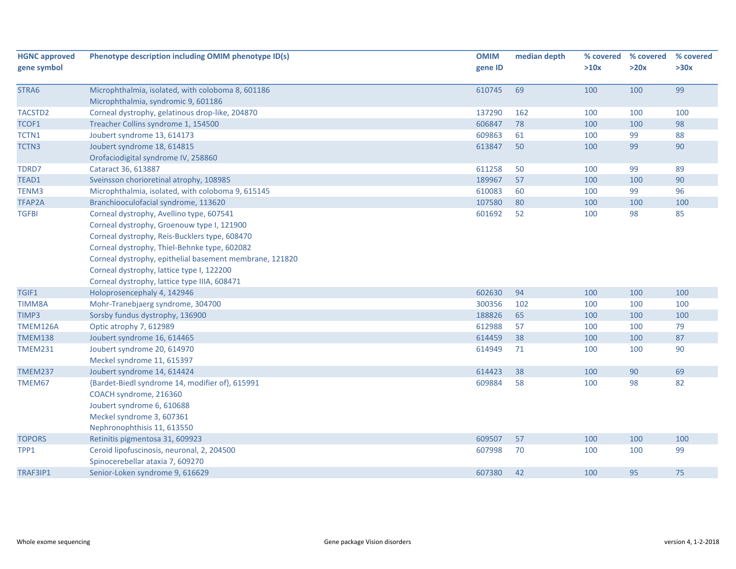| <b>HGNC approved</b> | Phenotype description including OMIM phenotype ID(s)    | <b>OMIM</b> | median depth | % covered | % covered | % covered |
|----------------------|---------------------------------------------------------|-------------|--------------|-----------|-----------|-----------|
| gene symbol          |                                                         | gene ID     |              | >10x      | >20x      | >30x      |
|                      |                                                         |             |              |           |           |           |
| STRA6                | Microphthalmia, isolated, with coloboma 8, 601186       | 610745      | 69           | 100       | 100       | 99        |
|                      | Microphthalmia, syndromic 9, 601186                     |             |              |           |           |           |
| TACSTD2              | Corneal dystrophy, gelatinous drop-like, 204870         | 137290      | 162          | 100       | 100       | 100       |
| TCOF1                | Treacher Collins syndrome 1, 154500                     | 606847      | 78           | 100       | 100       | 98        |
| TCTN1                | Joubert syndrome 13, 614173                             | 609863      | 61           | 100       | 99        | 88        |
| TCTN3                | Joubert syndrome 18, 614815                             | 613847      | 50           | 100       | 99        | 90        |
|                      | Orofaciodigital syndrome IV, 258860                     |             |              |           |           |           |
| TDRD7                | Cataract 36, 613887                                     | 611258      | 50           | 100       | 99        | 89        |
| TEAD1                | Sveinsson chorioretinal atrophy, 108985                 | 189967      | 57           | 100       | 100       | 90        |
| TENM3                | Microphthalmia, isolated, with coloboma 9, 615145       | 610083      | 60           | 100       | 99        | 96        |
| <b>TFAP2A</b>        | Branchiooculofacial syndrome, 113620                    | 107580      | 80           | 100       | 100       | 100       |
| <b>TGFBI</b>         | Corneal dystrophy, Avellino type, 607541                | 601692      | 52           | 100       | 98        | 85        |
|                      | Corneal dystrophy, Groenouw type I, 121900              |             |              |           |           |           |
|                      | Corneal dystrophy, Reis-Bucklers type, 608470           |             |              |           |           |           |
|                      | Corneal dystrophy, Thiel-Behnke type, 602082            |             |              |           |           |           |
|                      | Corneal dystrophy, epithelial basement membrane, 121820 |             |              |           |           |           |
|                      | Corneal dystrophy, lattice type I, 122200               |             |              |           |           |           |
|                      | Corneal dystrophy, lattice type IIIA, 608471            |             |              |           |           |           |
| TGIF1                | Holoprosencephaly 4, 142946                             | 602630      | 94           | 100       | 100       | 100       |
| TIMM8A               | Mohr-Tranebjaerg syndrome, 304700                       | 300356      | 102          | 100       | 100       | 100       |
| TIMP3                | Sorsby fundus dystrophy, 136900                         | 188826      | 65           | 100       | 100       | 100       |
| TMEM126A             | Optic atrophy 7, 612989                                 | 612988      | 57           | 100       | 100       | 79        |
| <b>TMEM138</b>       | Joubert syndrome 16, 614465                             | 614459      | 38           | 100       | 100       | 87        |
| <b>TMEM231</b>       | Joubert syndrome 20, 614970                             | 614949      | 71           | 100       | 100       | 90        |
|                      | Meckel syndrome 11, 615397                              |             |              |           |           |           |
| <b>TMEM237</b>       | Joubert syndrome 14, 614424                             | 614423      | 38           | 100       | 90        | 69        |
| TMEM67               | {Bardet-Biedl syndrome 14, modifier of}, 615991         | 609884      | 58           | 100       | 98        | 82        |
|                      | COACH syndrome, 216360                                  |             |              |           |           |           |
|                      | Joubert syndrome 6, 610688                              |             |              |           |           |           |
|                      | Meckel syndrome 3, 607361                               |             |              |           |           |           |
|                      | Nephronophthisis 11, 613550                             |             |              |           |           |           |
| <b>TOPORS</b>        | Retinitis pigmentosa 31, 609923                         | 609507      | 57           | 100       | 100       | 100       |
| TPP1                 | Ceroid lipofuscinosis, neuronal, 2, 204500              | 607998      | 70           | 100       | 100       | 99        |
|                      | Spinocerebellar ataxia 7, 609270                        |             |              |           |           |           |
| TRAF3IP1             | Senior-Loken syndrome 9, 616629                         | 607380      | 42           | 100       | 95        | 75        |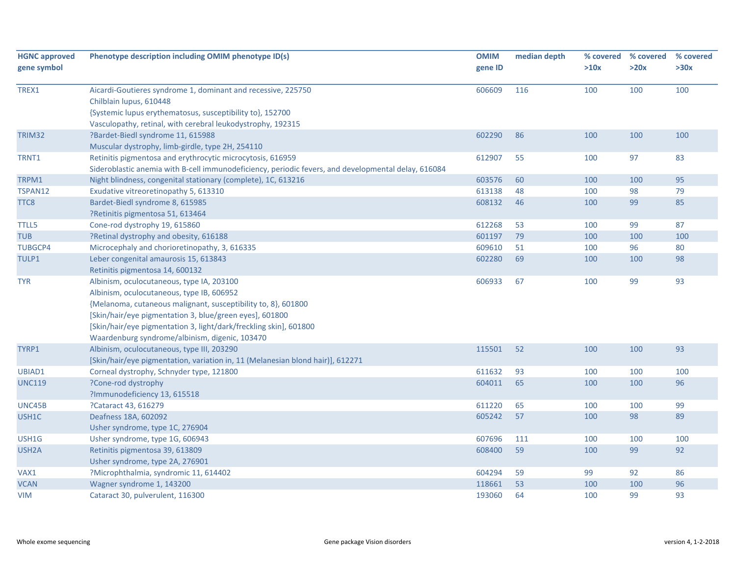| <b>HGNC approved</b><br>gene symbol | Phenotype description including OMIM phenotype ID(s)                                                                                                              | <b>OMIM</b><br>gene ID | median depth | % covered<br>>10x | % covered<br>>20x | % covered<br>>30x |
|-------------------------------------|-------------------------------------------------------------------------------------------------------------------------------------------------------------------|------------------------|--------------|-------------------|-------------------|-------------------|
| TREX1                               | Aicardi-Goutieres syndrome 1, dominant and recessive, 225750                                                                                                      | 606609                 | 116          | 100               | 100               | 100               |
|                                     | Chilblain lupus, 610448                                                                                                                                           |                        |              |                   |                   |                   |
|                                     | {Systemic lupus erythematosus, susceptibility to}, 152700                                                                                                         |                        |              |                   |                   |                   |
|                                     | Vasculopathy, retinal, with cerebral leukodystrophy, 192315<br>?Bardet-Biedl syndrome 11, 615988                                                                  | 602290                 |              | 100               |                   |                   |
| TRIM32                              |                                                                                                                                                                   |                        | 86           |                   | 100               | 100               |
| TRNT1                               | Muscular dystrophy, limb-girdle, type 2H, 254110                                                                                                                  | 612907                 | 55           | 100               | 97                | 83                |
|                                     | Retinitis pigmentosa and erythrocytic microcytosis, 616959<br>Sideroblastic anemia with B-cell immunodeficiency, periodic fevers, and developmental delay, 616084 |                        |              |                   |                   |                   |
| TRPM1                               | Night blindness, congenital stationary (complete), 1C, 613216                                                                                                     | 603576                 | 60           | 100               | 100               | 95                |
| TSPAN12                             | Exudative vitreoretinopathy 5, 613310                                                                                                                             | 613138                 | 48           | 100               | 98                | 79                |
| TTC8                                | Bardet-Biedl syndrome 8, 615985                                                                                                                                   | 608132                 | 46           | 100               | 99                | 85                |
|                                     | ?Retinitis pigmentosa 51, 613464                                                                                                                                  |                        |              |                   |                   |                   |
| <b>TTLL5</b>                        | Cone-rod dystrophy 19, 615860                                                                                                                                     | 612268                 | 53           | 100               | 99                | 87                |
| <b>TUB</b>                          | ?Retinal dystrophy and obesity, 616188                                                                                                                            | 601197                 | 79           | 100               | 100               | 100               |
| <b>TUBGCP4</b>                      | Microcephaly and chorioretinopathy, 3, 616335                                                                                                                     | 609610                 | 51           | 100               | 96                | 80                |
| TULP1                               | Leber congenital amaurosis 15, 613843                                                                                                                             | 602280                 | 69           | 100               | 100               | 98                |
|                                     | Retinitis pigmentosa 14, 600132                                                                                                                                   |                        |              |                   |                   |                   |
| <b>TYR</b>                          | Albinism, oculocutaneous, type IA, 203100                                                                                                                         | 606933                 | 67           | 100               | 99                | 93                |
|                                     | Albinism, oculocutaneous, type IB, 606952                                                                                                                         |                        |              |                   |                   |                   |
|                                     | {Melanoma, cutaneous malignant, susceptibility to, 8}, 601800                                                                                                     |                        |              |                   |                   |                   |
|                                     | [Skin/hair/eye pigmentation 3, blue/green eyes], 601800                                                                                                           |                        |              |                   |                   |                   |
|                                     | [Skin/hair/eye pigmentation 3, light/dark/freckling skin], 601800                                                                                                 |                        |              |                   |                   |                   |
|                                     | Waardenburg syndrome/albinism, digenic, 103470                                                                                                                    |                        |              |                   |                   |                   |
| TYRP1                               | Albinism, oculocutaneous, type III, 203290                                                                                                                        | 115501                 | 52           | 100               | 100               | 93                |
|                                     | [Skin/hair/eye pigmentation, variation in, 11 (Melanesian blond hair)], 612271                                                                                    |                        |              |                   |                   |                   |
| UBIAD1                              | Corneal dystrophy, Schnyder type, 121800                                                                                                                          | 611632                 | 93           | 100               | 100               | 100               |
| <b>UNC119</b>                       | ?Cone-rod dystrophy                                                                                                                                               | 604011                 | 65           | 100               | 100               | 96                |
|                                     | ?Immunodeficiency 13, 615518                                                                                                                                      |                        |              |                   |                   |                   |
| UNC45B                              | ?Cataract 43, 616279                                                                                                                                              | 611220                 | 65           | 100               | 100               | 99                |
| USH1C                               | Deafness 18A, 602092                                                                                                                                              | 605242                 | 57           | 100               | 98                | 89                |
|                                     | Usher syndrome, type 1C, 276904                                                                                                                                   |                        |              |                   |                   |                   |
| USH1G                               | Usher syndrome, type 1G, 606943                                                                                                                                   | 607696                 | 111          | 100               | 100               | 100               |
| USH <sub>2</sub> A                  | Retinitis pigmentosa 39, 613809                                                                                                                                   | 608400                 | 59           | 100               | 99                | 92                |
|                                     | Usher syndrome, type 2A, 276901                                                                                                                                   |                        |              |                   |                   |                   |
| VAX1                                | ?Microphthalmia, syndromic 11, 614402                                                                                                                             | 604294                 | 59           | 99                | 92                | 86                |
| <b>VCAN</b>                         | Wagner syndrome 1, 143200                                                                                                                                         | 118661                 | 53           | 100               | 100               | 96                |
| <b>VIM</b>                          | Cataract 30, pulverulent, 116300                                                                                                                                  | 193060                 | 64           | 100               | 99                | 93                |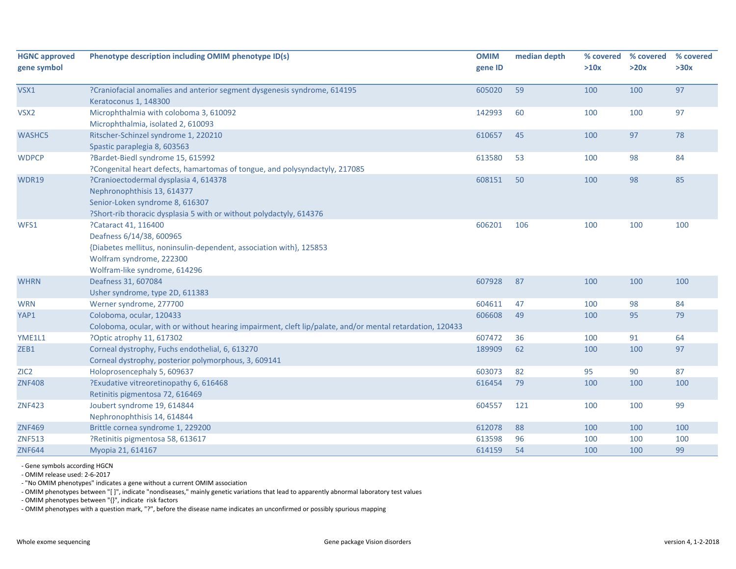| <b>HGNC approved</b><br>gene symbol | Phenotype description including OMIM phenotype ID(s)                                                                                                                                 | <b>OMIM</b><br>gene ID | median depth | % covered<br>>10x | % covered<br>>20x | % covered<br>>30x |
|-------------------------------------|--------------------------------------------------------------------------------------------------------------------------------------------------------------------------------------|------------------------|--------------|-------------------|-------------------|-------------------|
| VSX1                                | ?Craniofacial anomalies and anterior segment dysgenesis syndrome, 614195<br>Keratoconus 1, 148300                                                                                    | 605020                 | 59           | 100               | 100               | 97                |
| VSX <sub>2</sub>                    | Microphthalmia with coloboma 3, 610092<br>Microphthalmia, isolated 2, 610093                                                                                                         | 142993                 | 60           | 100               | 100               | 97                |
| <b>WASHC5</b>                       | Ritscher-Schinzel syndrome 1, 220210<br>Spastic paraplegia 8, 603563                                                                                                                 | 610657                 | 45           | 100               | 97                | 78                |
| <b>WDPCP</b>                        | ?Bardet-Biedl syndrome 15, 615992<br>?Congenital heart defects, hamartomas of tongue, and polysyndactyly, 217085                                                                     | 613580                 | 53           | 100               | 98                | 84                |
| <b>WDR19</b>                        | ?Cranioectodermal dysplasia 4, 614378<br>Nephronophthisis 13, 614377<br>Senior-Loken syndrome 8, 616307<br>?Short-rib thoracic dysplasia 5 with or without polydactyly, 614376       | 608151                 | 50           | 100               | 98                | 85                |
| WFS1                                | ?Cataract 41, 116400<br>Deafness 6/14/38, 600965<br>{Diabetes mellitus, noninsulin-dependent, association with}, 125853<br>Wolfram syndrome, 222300<br>Wolfram-like syndrome, 614296 | 606201                 | 106          | 100               | 100               | 100               |
| <b>WHRN</b>                         | Deafness 31, 607084<br>Usher syndrome, type 2D, 611383                                                                                                                               | 607928                 | 87           | 100               | 100               | 100               |
| <b>WRN</b>                          | Werner syndrome, 277700                                                                                                                                                              | 604611                 | 47           | 100               | 98                | 84                |
| YAP1                                | Coloboma, ocular, 120433<br>Coloboma, ocular, with or without hearing impairment, cleft lip/palate, and/or mental retardation, 120433                                                | 606608                 | 49           | 100               | 95                | 79                |
| YME1L1                              | ?Optic atrophy 11, 617302                                                                                                                                                            | 607472                 | 36           | 100               | 91                | 64                |
| ZEB1                                | Corneal dystrophy, Fuchs endothelial, 6, 613270<br>Corneal dystrophy, posterior polymorphous, 3, 609141                                                                              | 189909                 | 62           | 100               | 100               | 97                |
| ZIC <sub>2</sub>                    | Holoprosencephaly 5, 609637                                                                                                                                                          | 603073                 | 82           | 95                | 90                | 87                |
| <b>ZNF408</b>                       | ?Exudative vitreoretinopathy 6, 616468<br>Retinitis pigmentosa 72, 616469                                                                                                            | 616454                 | 79           | 100               | 100               | 100               |
| <b>ZNF423</b>                       | Joubert syndrome 19, 614844<br>Nephronophthisis 14, 614844                                                                                                                           | 604557                 | 121          | 100               | 100               | 99                |
| <b>ZNF469</b>                       | Brittle cornea syndrome 1, 229200                                                                                                                                                    | 612078                 | 88           | 100               | 100               | 100               |
| <b>ZNF513</b>                       | ?Retinitis pigmentosa 58, 613617                                                                                                                                                     | 613598                 | 96           | 100               | 100               | 100               |
| <b>ZNF644</b>                       | Myopia 21, 614167                                                                                                                                                                    | 614159                 | 54           | 100               | 100               | 99                |

‐ Gene symbols according HGCN

‐ OMIM release used: 2‐6‐2017

‐ "No OMIM phenotypes" indicates <sup>a</sup> gene without <sup>a</sup> current OMIM association

‐ OMIM phenotypes between "[ ]", indicate "nondiseases," mainly genetic variations that lead to apparently abnormal laboratory test values

‐ OMIM phenotypes between "{}", indicate risk factors

‐ OMIM phenotypes with <sup>a</sup> question mark, "?", before the disease name indicates an unconfirmed or possibly spurious mapping